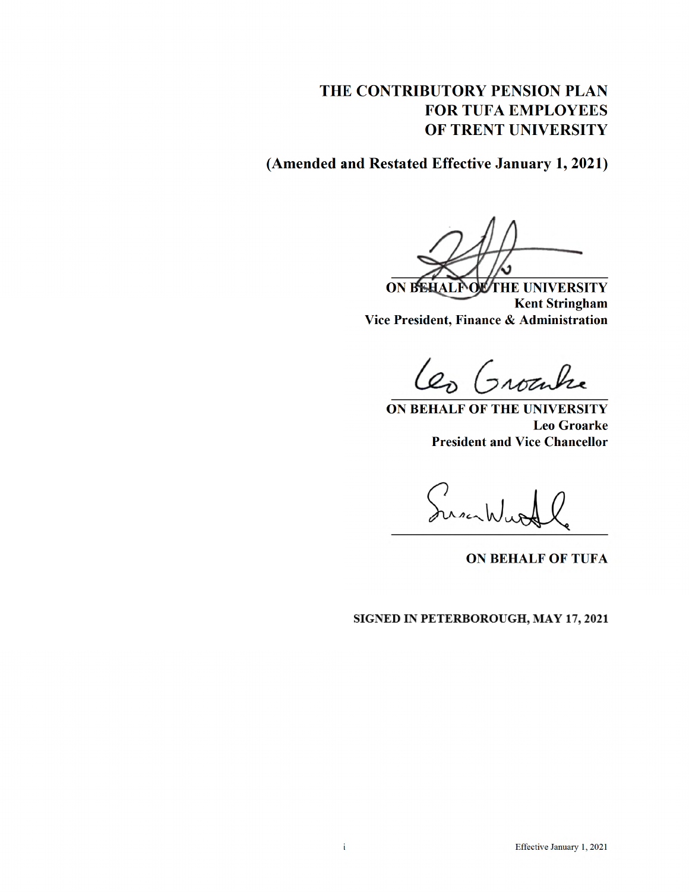# THE CONTRIBUTORY PENSION PLAN **FOR TUFA EMPLOYEES** OF TRENT UNIVERSITY

(Amended and Restated Effective January 1, 2021)

ON BEHALF OF THE UNIVERSITY **Kent Stringham** Vice President, Finance & Administration

Les Grouhe

ON BEHALF OF THE UNIVERSITY **Leo Groarke President and Vice Chancellor** 

Jusikly

**ON BEHALF OF TUFA** 

SIGNED IN PETERBOROUGH, MAY 17, 2021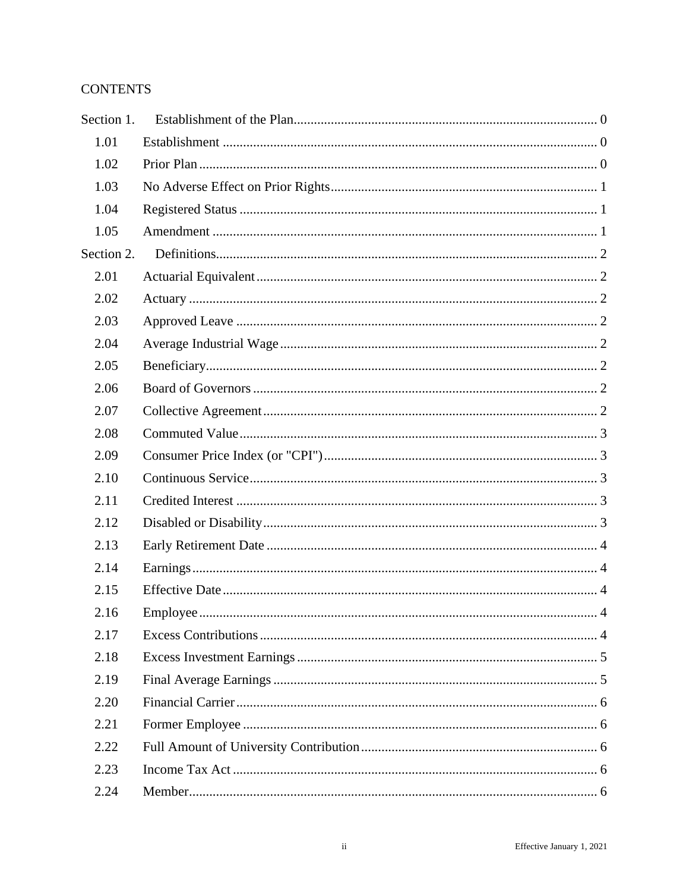# **CONTENTS**

| Section 1. |  |
|------------|--|
| 1.01       |  |
| 1.02       |  |
| 1.03       |  |
| 1.04       |  |
| 1.05       |  |
| Section 2. |  |
| 2.01       |  |
| 2.02       |  |
| 2.03       |  |
| 2.04       |  |
| 2.05       |  |
| 2.06       |  |
| 2.07       |  |
| 2.08       |  |
| 2.09       |  |
| 2.10       |  |
| 2.11       |  |
| 2.12       |  |
| 2.13       |  |
| 2.14       |  |
| 2.15       |  |
| 2.16       |  |
| 2.17       |  |
| 2.18       |  |
| 2.19       |  |
| 2.20       |  |
| 2.21       |  |
| 2.22       |  |
| 2.23       |  |
| 2.24       |  |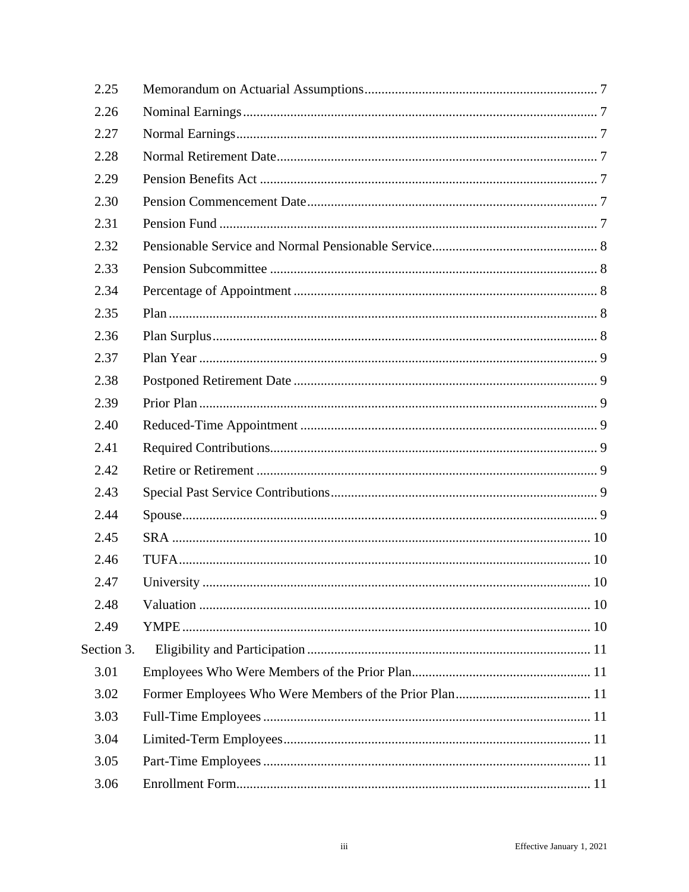| 2.25       |  |  |
|------------|--|--|
| 2.26       |  |  |
| 2.27       |  |  |
| 2.28       |  |  |
| 2.29       |  |  |
| 2.30       |  |  |
| 2.31       |  |  |
| 2.32       |  |  |
| 2.33       |  |  |
| 2.34       |  |  |
| 2.35       |  |  |
| 2.36       |  |  |
| 2.37       |  |  |
| 2.38       |  |  |
| 2.39       |  |  |
| 2.40       |  |  |
| 2.41       |  |  |
| 2.42       |  |  |
| 2.43       |  |  |
| 2.44       |  |  |
| 2.45       |  |  |
| 2.46       |  |  |
| 2.47       |  |  |
| 2.48       |  |  |
| 2.49       |  |  |
| Section 3. |  |  |
| 3.01       |  |  |
| 3.02       |  |  |
| 3.03       |  |  |
| 3.04       |  |  |
| 3.05       |  |  |
| 3.06       |  |  |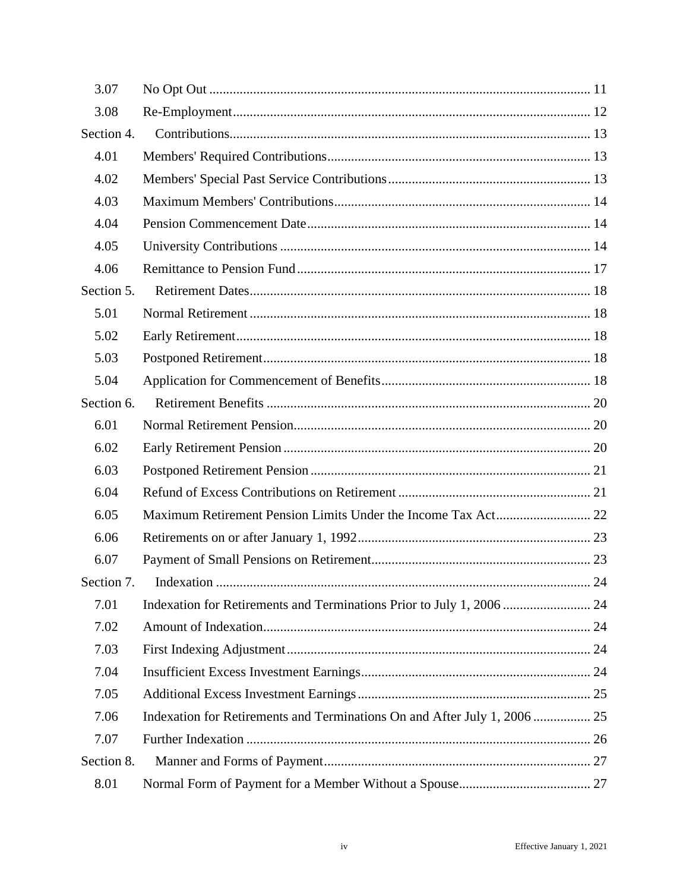| 3.07       |                                                                           |  |
|------------|---------------------------------------------------------------------------|--|
| 3.08       |                                                                           |  |
| Section 4. |                                                                           |  |
| 4.01       |                                                                           |  |
| 4.02       |                                                                           |  |
| 4.03       |                                                                           |  |
| 4.04       |                                                                           |  |
| 4.05       |                                                                           |  |
| 4.06       |                                                                           |  |
| Section 5. |                                                                           |  |
| 5.01       |                                                                           |  |
| 5.02       |                                                                           |  |
| 5.03       |                                                                           |  |
| 5.04       |                                                                           |  |
| Section 6. |                                                                           |  |
| 6.01       |                                                                           |  |
| 6.02       |                                                                           |  |
| 6.03       |                                                                           |  |
| 6.04       |                                                                           |  |
| 6.05       |                                                                           |  |
| 6.06       |                                                                           |  |
| 6.07       |                                                                           |  |
|            |                                                                           |  |
| 7.01       |                                                                           |  |
| 7.02       |                                                                           |  |
| 7.03       |                                                                           |  |
| 7.04       |                                                                           |  |
| 7.05       |                                                                           |  |
| 7.06       | Indexation for Retirements and Terminations On and After July 1, 2006  25 |  |
| 7.07       |                                                                           |  |
| Section 8. |                                                                           |  |
| 8.01       |                                                                           |  |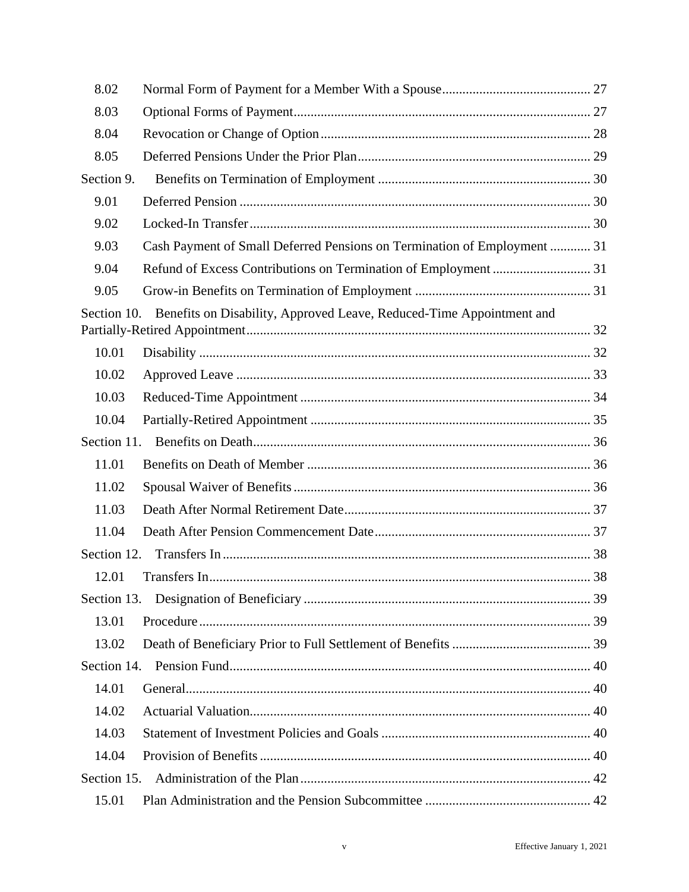| 8.02        |                                                                          |  |
|-------------|--------------------------------------------------------------------------|--|
| 8.03        |                                                                          |  |
| 8.04        |                                                                          |  |
| 8.05        |                                                                          |  |
| Section 9.  |                                                                          |  |
| 9.01        |                                                                          |  |
| 9.02        |                                                                          |  |
| 9.03        | Cash Payment of Small Deferred Pensions on Termination of Employment  31 |  |
| 9.04        |                                                                          |  |
| 9.05        |                                                                          |  |
| Section 10. | Benefits on Disability, Approved Leave, Reduced-Time Appointment and     |  |
| 10.01       |                                                                          |  |
| 10.02       |                                                                          |  |
| 10.03       |                                                                          |  |
| 10.04       |                                                                          |  |
| Section 11. |                                                                          |  |
| 11.01       |                                                                          |  |
| 11.02       |                                                                          |  |
| 11.03       |                                                                          |  |
| 11.04       |                                                                          |  |
| Section 12. |                                                                          |  |
| 12.01       |                                                                          |  |
| Section 13. |                                                                          |  |
| 13.01       |                                                                          |  |
| 13.02       |                                                                          |  |
| Section 14. |                                                                          |  |
| 14.01       |                                                                          |  |
| 14.02       |                                                                          |  |
| 14.03       |                                                                          |  |
| 14.04       |                                                                          |  |
| Section 15. |                                                                          |  |
| 15.01       |                                                                          |  |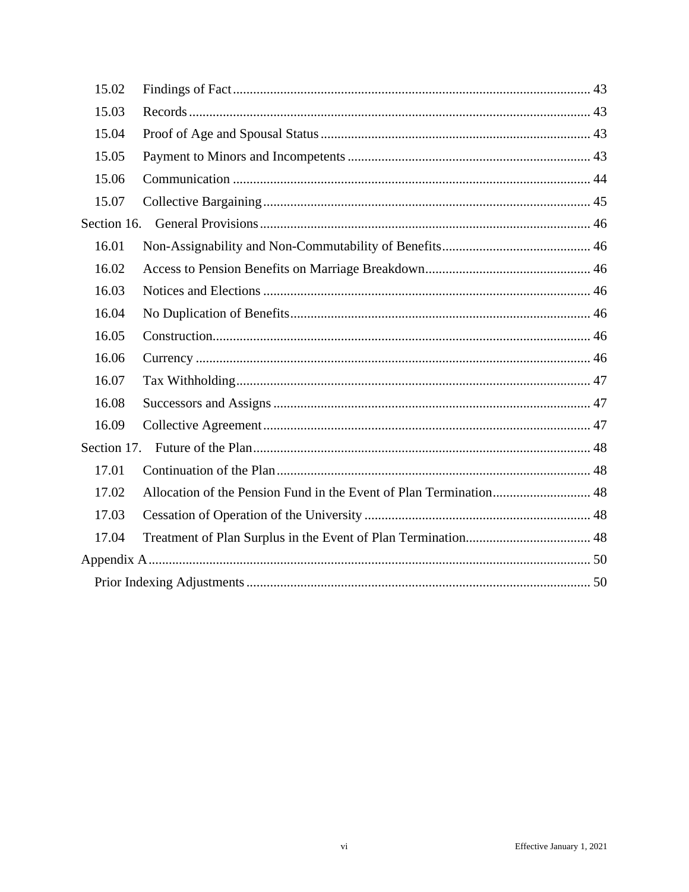| 15.02       |  |
|-------------|--|
| 15.03       |  |
| 15.04       |  |
| 15.05       |  |
| 15.06       |  |
| 15.07       |  |
| Section 16. |  |
| 16.01       |  |
| 16.02       |  |
| 16.03       |  |
| 16.04       |  |
| 16.05       |  |
| 16.06       |  |
| 16.07       |  |
| 16.08       |  |
| 16.09       |  |
| Section 17. |  |
| 17.01       |  |
| 17.02       |  |
| 17.03       |  |
| 17.04       |  |
|             |  |
|             |  |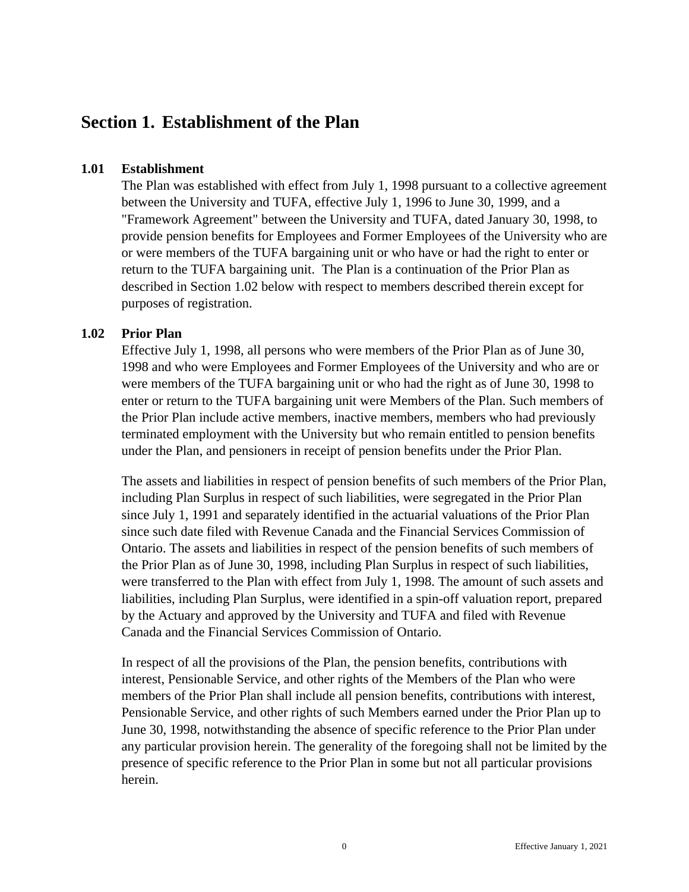# <span id="page-6-0"></span>**Section 1. Establishment of the Plan**

#### <span id="page-6-1"></span>**1.01 Establishment**

The Plan was established with effect from July 1, 1998 pursuant to a collective agreement between the University and TUFA, effective July 1, 1996 to June 30, 1999, and a "Framework Agreement" between the University and TUFA, dated January 30, 1998, to provide pension benefits for Employees and Former Employees of the University who are or were members of the TUFA bargaining unit or who have or had the right to enter or return to the TUFA bargaining unit. The Plan is a continuation of the Prior Plan as described in Section 1.02 below with respect to members described therein except for purposes of registration.

### <span id="page-6-2"></span>**1.02 Prior Plan**

Effective July 1, 1998, all persons who were members of the Prior Plan as of June 30, 1998 and who were Employees and Former Employees of the University and who are or were members of the TUFA bargaining unit or who had the right as of June 30, 1998 to enter or return to the TUFA bargaining unit were Members of the Plan. Such members of the Prior Plan include active members, inactive members, members who had previously terminated employment with the University but who remain entitled to pension benefits under the Plan, and pensioners in receipt of pension benefits under the Prior Plan.

The assets and liabilities in respect of pension benefits of such members of the Prior Plan, including Plan Surplus in respect of such liabilities, were segregated in the Prior Plan since July 1, 1991 and separately identified in the actuarial valuations of the Prior Plan since such date filed with Revenue Canada and the Financial Services Commission of Ontario. The assets and liabilities in respect of the pension benefits of such members of the Prior Plan as of June 30, 1998, including Plan Surplus in respect of such liabilities, were transferred to the Plan with effect from July 1, 1998. The amount of such assets and liabilities, including Plan Surplus, were identified in a spin-off valuation report, prepared by the Actuary and approved by the University and TUFA and filed with Revenue Canada and the Financial Services Commission of Ontario.

In respect of all the provisions of the Plan, the pension benefits, contributions with interest, Pensionable Service, and other rights of the Members of the Plan who were members of the Prior Plan shall include all pension benefits, contributions with interest, Pensionable Service, and other rights of such Members earned under the Prior Plan up to June 30, 1998, notwithstanding the absence of specific reference to the Prior Plan under any particular provision herein. The generality of the foregoing shall not be limited by the presence of specific reference to the Prior Plan in some but not all particular provisions herein.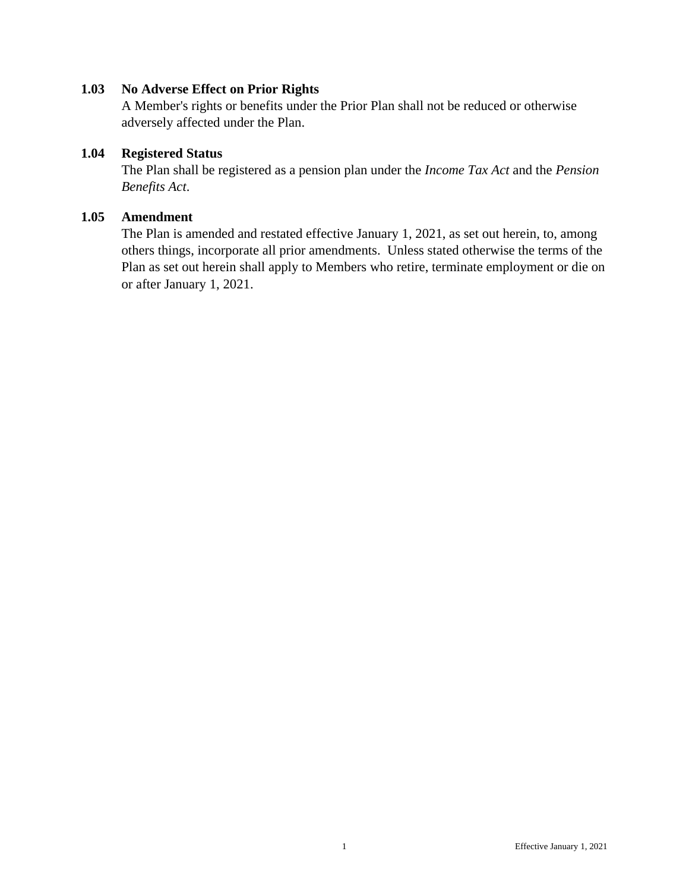#### <span id="page-7-0"></span>**1.03 No Adverse Effect on Prior Rights**

A Member's rights or benefits under the Prior Plan shall not be reduced or otherwise adversely affected under the Plan.

#### <span id="page-7-1"></span>**1.04 Registered Status**

The Plan shall be registered as a pension plan under the *Income Tax Act* and the *Pension Benefits Act*.

#### <span id="page-7-2"></span>**1.05 Amendment**

The Plan is amended and restated effective January 1, 2021, as set out herein, to, among others things, incorporate all prior amendments. Unless stated otherwise the terms of the Plan as set out herein shall apply to Members who retire, terminate employment or die on or after January 1, 2021.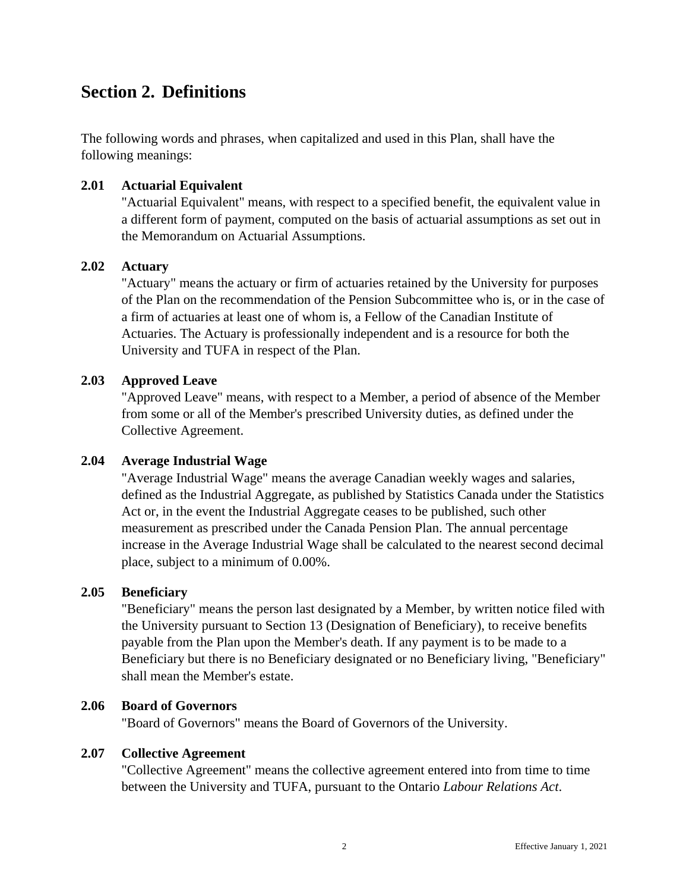# <span id="page-8-0"></span>**Section 2. Definitions**

The following words and phrases, when capitalized and used in this Plan, shall have the following meanings:

#### <span id="page-8-1"></span>**2.01 Actuarial Equivalent**

"Actuarial Equivalent" means, with respect to a specified benefit, the equivalent value in a different form of payment, computed on the basis of actuarial assumptions as set out in the Memorandum on Actuarial Assumptions.

#### <span id="page-8-2"></span>**2.02 Actuary**

"Actuary" means the actuary or firm of actuaries retained by the University for purposes of the Plan on the recommendation of the Pension Subcommittee who is, or in the case of a firm of actuaries at least one of whom is, a Fellow of the Canadian Institute of Actuaries. The Actuary is professionally independent and is a resource for both the University and TUFA in respect of the Plan.

### <span id="page-8-3"></span>**2.03 Approved Leave**

"Approved Leave" means, with respect to a Member, a period of absence of the Member from some or all of the Member's prescribed University duties, as defined under the Collective Agreement.

#### <span id="page-8-4"></span>**2.04 Average Industrial Wage**

"Average Industrial Wage" means the average Canadian weekly wages and salaries, defined as the Industrial Aggregate, as published by Statistics Canada under the Statistics Act or, in the event the Industrial Aggregate ceases to be published, such other measurement as prescribed under the Canada Pension Plan. The annual percentage increase in the Average Industrial Wage shall be calculated to the nearest second decimal place, subject to a minimum of 0.00%.

#### <span id="page-8-5"></span>**2.05 Beneficiary**

"Beneficiary" means the person last designated by a Member, by written notice filed with the University pursuant to Section 13 (Designation of Beneficiary), to receive benefits payable from the Plan upon the Member's death. If any payment is to be made to a Beneficiary but there is no Beneficiary designated or no Beneficiary living, "Beneficiary" shall mean the Member's estate.

### <span id="page-8-6"></span>**2.06 Board of Governors**

"Board of Governors" means the Board of Governors of the University.

#### <span id="page-8-7"></span>**2.07 Collective Agreement**

"Collective Agreement" means the collective agreement entered into from time to time between the University and TUFA, pursuant to the Ontario *Labour Relations Act*.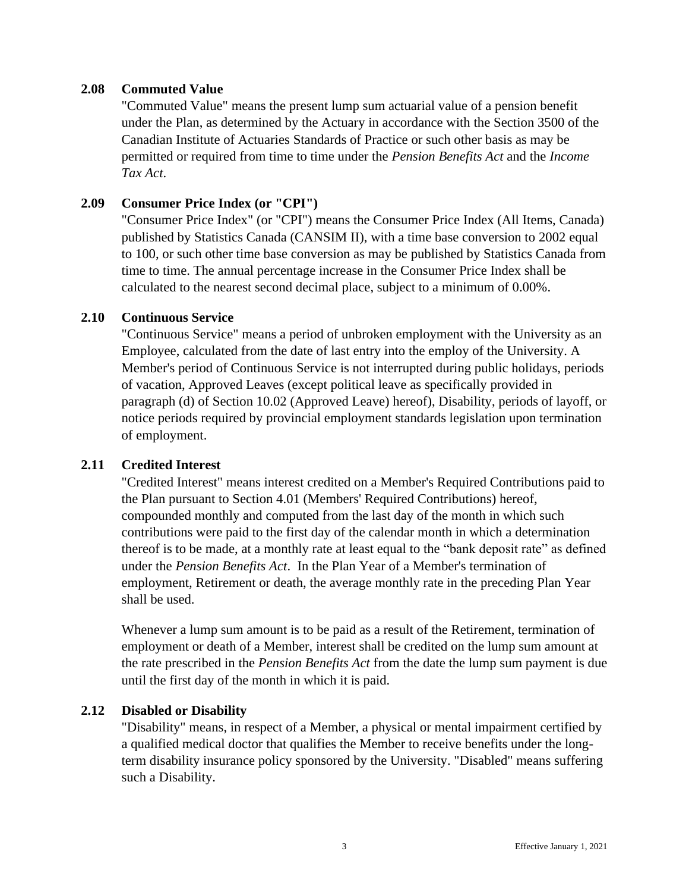#### <span id="page-9-0"></span>**2.08 Commuted Value**

"Commuted Value" means the present lump sum actuarial value of a pension benefit under the Plan, as determined by the Actuary in accordance with the Section 3500 of the Canadian Institute of Actuaries Standards of Practice or such other basis as may be permitted or required from time to time under the *Pension Benefits Act* and the *Income Tax Act*.

### <span id="page-9-1"></span>**2.09 Consumer Price Index (or "CPI")**

"Consumer Price Index" (or "CPI") means the Consumer Price Index (All Items, Canada) published by Statistics Canada (CANSIM II), with a time base conversion to 2002 equal to 100, or such other time base conversion as may be published by Statistics Canada from time to time. The annual percentage increase in the Consumer Price Index shall be calculated to the nearest second decimal place, subject to a minimum of 0.00%.

#### <span id="page-9-2"></span>**2.10 Continuous Service**

"Continuous Service" means a period of unbroken employment with the University as an Employee, calculated from the date of last entry into the employ of the University. A Member's period of Continuous Service is not interrupted during public holidays, periods of vacation, Approved Leaves (except political leave as specifically provided in paragraph (d) of Section 10.02 (Approved Leave) hereof), Disability, periods of layoff, or notice periods required by provincial employment standards legislation upon termination of employment.

#### <span id="page-9-3"></span>**2.11 Credited Interest**

"Credited Interest" means interest credited on a Member's Required Contributions paid to the Plan pursuant to Section 4.01 (Members' Required Contributions) hereof, compounded monthly and computed from the last day of the month in which such contributions were paid to the first day of the calendar month in which a determination thereof is to be made, at a monthly rate at least equal to the "bank deposit rate" as defined under the *Pension Benefits Act*. In the Plan Year of a Member's termination of employment, Retirement or death, the average monthly rate in the preceding Plan Year shall be used.

Whenever a lump sum amount is to be paid as a result of the Retirement, termination of employment or death of a Member, interest shall be credited on the lump sum amount at the rate prescribed in the *Pension Benefits Act* from the date the lump sum payment is due until the first day of the month in which it is paid.

#### <span id="page-9-4"></span>**2.12 Disabled or Disability**

"Disability" means, in respect of a Member, a physical or mental impairment certified by a qualified medical doctor that qualifies the Member to receive benefits under the longterm disability insurance policy sponsored by the University. "Disabled" means suffering such a Disability.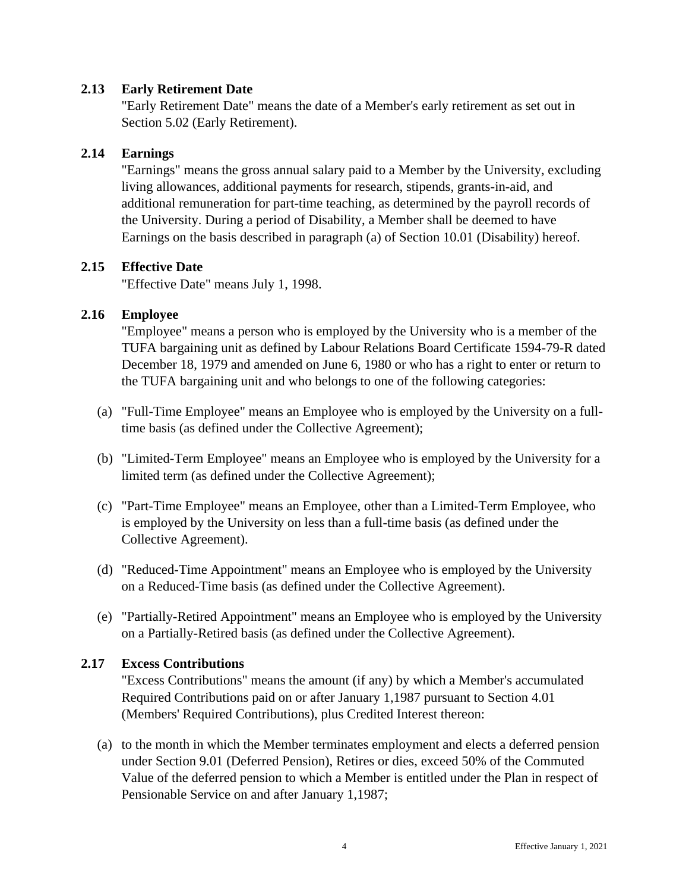### <span id="page-10-0"></span>**2.13 Early Retirement Date**

"Early Retirement Date" means the date of a Member's early retirement as set out in Section 5.02 (Early Retirement).

### <span id="page-10-1"></span>**2.14 Earnings**

"Earnings" means the gross annual salary paid to a Member by the University, excluding living allowances, additional payments for research, stipends, grants-in-aid, and additional remuneration for part-time teaching, as determined by the payroll records of the University. During a period of Disability, a Member shall be deemed to have Earnings on the basis described in paragraph (a) of Section 10.01 (Disability) hereof.

### <span id="page-10-2"></span>**2.15 Effective Date**

"Effective Date" means July 1, 1998.

### <span id="page-10-3"></span>**2.16 Employee**

"Employee" means a person who is employed by the University who is a member of the TUFA bargaining unit as defined by Labour Relations Board Certificate 1594-79-R dated December 18, 1979 and amended on June 6, 1980 or who has a right to enter or return to the TUFA bargaining unit and who belongs to one of the following categories:

- (a) "Full-Time Employee" means an Employee who is employed by the University on a fulltime basis (as defined under the Collective Agreement);
- (b) "Limited-Term Employee" means an Employee who is employed by the University for a limited term (as defined under the Collective Agreement);
- (c) "Part-Time Employee" means an Employee, other than a Limited-Term Employee, who is employed by the University on less than a full-time basis (as defined under the Collective Agreement).
- (d) "Reduced-Time Appointment" means an Employee who is employed by the University on a Reduced-Time basis (as defined under the Collective Agreement).
- (e) "Partially-Retired Appointment" means an Employee who is employed by the University on a Partially-Retired basis (as defined under the Collective Agreement).

# <span id="page-10-4"></span>**2.17 Excess Contributions**

"Excess Contributions" means the amount (if any) by which a Member's accumulated Required Contributions paid on or after January 1,1987 pursuant to Section 4.01 (Members' Required Contributions), plus Credited Interest thereon:

(a) to the month in which the Member terminates employment and elects a deferred pension under Section 9.01 (Deferred Pension), Retires or dies, exceed 50% of the Commuted Value of the deferred pension to which a Member is entitled under the Plan in respect of Pensionable Service on and after January 1,1987;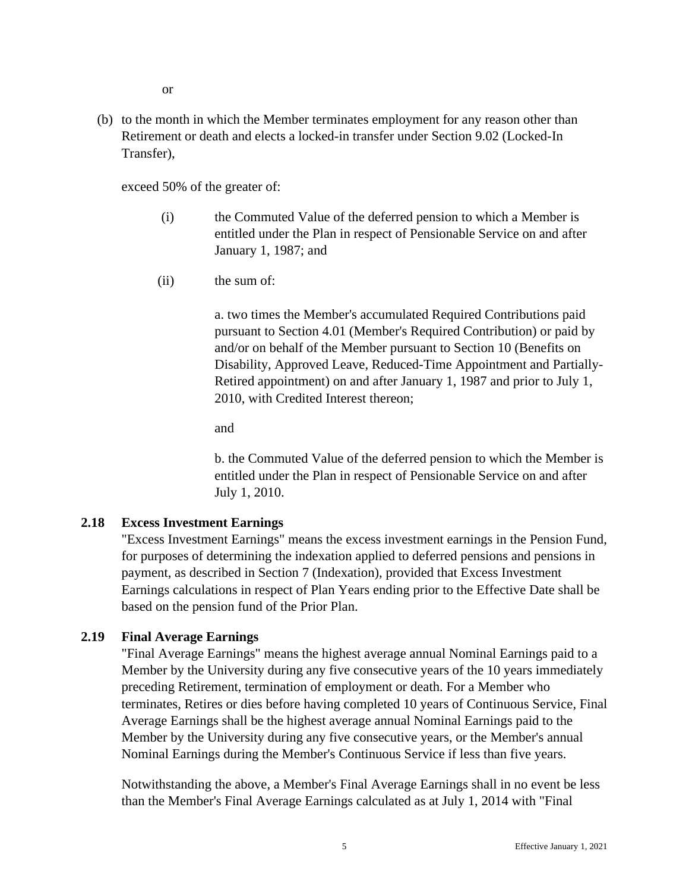or

(b) to the month in which the Member terminates employment for any reason other than Retirement or death and elects a locked-in transfer under Section 9.02 (Locked-In Transfer),

exceed 50% of the greater of:

- (i) the Commuted Value of the deferred pension to which a Member is entitled under the Plan in respect of Pensionable Service on and after January 1, 1987; and
- (ii) the sum of:

a. two times the Member's accumulated Required Contributions paid pursuant to Section 4.01 (Member's Required Contribution) or paid by and/or on behalf of the Member pursuant to Section 10 (Benefits on Disability, Approved Leave, Reduced-Time Appointment and Partially-Retired appointment) on and after January 1, 1987 and prior to July 1, 2010, with Credited Interest thereon;

and

b. the Commuted Value of the deferred pension to which the Member is entitled under the Plan in respect of Pensionable Service on and after July 1, 2010.

# <span id="page-11-0"></span>**2.18 Excess Investment Earnings**

"Excess Investment Earnings" means the excess investment earnings in the Pension Fund, for purposes of determining the indexation applied to deferred pensions and pensions in payment, as described in Section 7 (Indexation), provided that Excess Investment Earnings calculations in respect of Plan Years ending prior to the Effective Date shall be based on the pension fund of the Prior Plan.

# <span id="page-11-1"></span>**2.19 Final Average Earnings**

"Final Average Earnings" means the highest average annual Nominal Earnings paid to a Member by the University during any five consecutive years of the 10 years immediately preceding Retirement, termination of employment or death. For a Member who terminates, Retires or dies before having completed 10 years of Continuous Service, Final Average Earnings shall be the highest average annual Nominal Earnings paid to the Member by the University during any five consecutive years, or the Member's annual Nominal Earnings during the Member's Continuous Service if less than five years.

Notwithstanding the above, a Member's Final Average Earnings shall in no event be less than the Member's Final Average Earnings calculated as at July 1, 2014 with "Final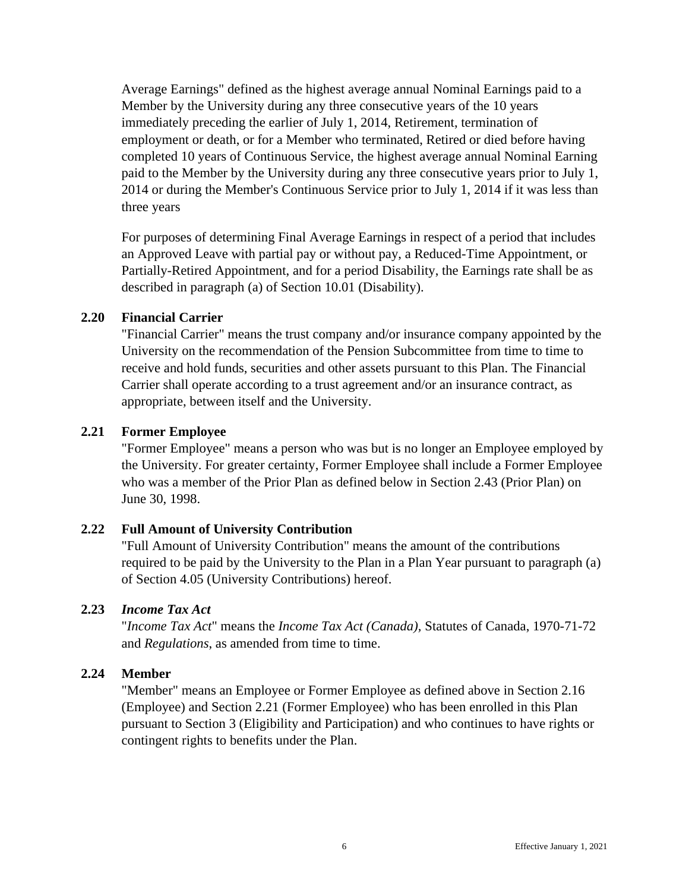Average Earnings" defined as the highest average annual Nominal Earnings paid to a Member by the University during any three consecutive years of the 10 years immediately preceding the earlier of July 1, 2014, Retirement, termination of employment or death, or for a Member who terminated, Retired or died before having completed 10 years of Continuous Service, the highest average annual Nominal Earning paid to the Member by the University during any three consecutive years prior to July 1, 2014 or during the Member's Continuous Service prior to July 1, 2014 if it was less than three years

For purposes of determining Final Average Earnings in respect of a period that includes an Approved Leave with partial pay or without pay, a Reduced-Time Appointment, or Partially-Retired Appointment, and for a period Disability, the Earnings rate shall be as described in paragraph (a) of Section 10.01 (Disability).

#### <span id="page-12-0"></span>**2.20 Financial Carrier**

"Financial Carrier" means the trust company and/or insurance company appointed by the University on the recommendation of the Pension Subcommittee from time to time to receive and hold funds, securities and other assets pursuant to this Plan. The Financial Carrier shall operate according to a trust agreement and/or an insurance contract, as appropriate, between itself and the University.

### <span id="page-12-1"></span>**2.21 Former Employee**

"Former Employee" means a person who was but is no longer an Employee employed by the University. For greater certainty, Former Employee shall include a Former Employee who was a member of the Prior Plan as defined below in Section 2.43 (Prior Plan) on June 30, 1998.

# <span id="page-12-2"></span>**2.22 Full Amount of University Contribution**

"Full Amount of University Contribution" means the amount of the contributions required to be paid by the University to the Plan in a Plan Year pursuant to paragraph (a) of Section 4.05 (University Contributions) hereof.

### <span id="page-12-3"></span>**2.23** *Income Tax Act*

"*Income Tax Act*" means the *Income Tax Act (Canada),* Statutes of Canada, 1970-71-72 and *Regulations*, as amended from time to time.

#### <span id="page-12-4"></span>**2.24 Member**

"Member" means an Employee or Former Employee as defined above in Section 2.16 (Employee) and Section 2.21 (Former Employee) who has been enrolled in this Plan pursuant to Section 3 (Eligibility and Participation) and who continues to have rights or contingent rights to benefits under the Plan.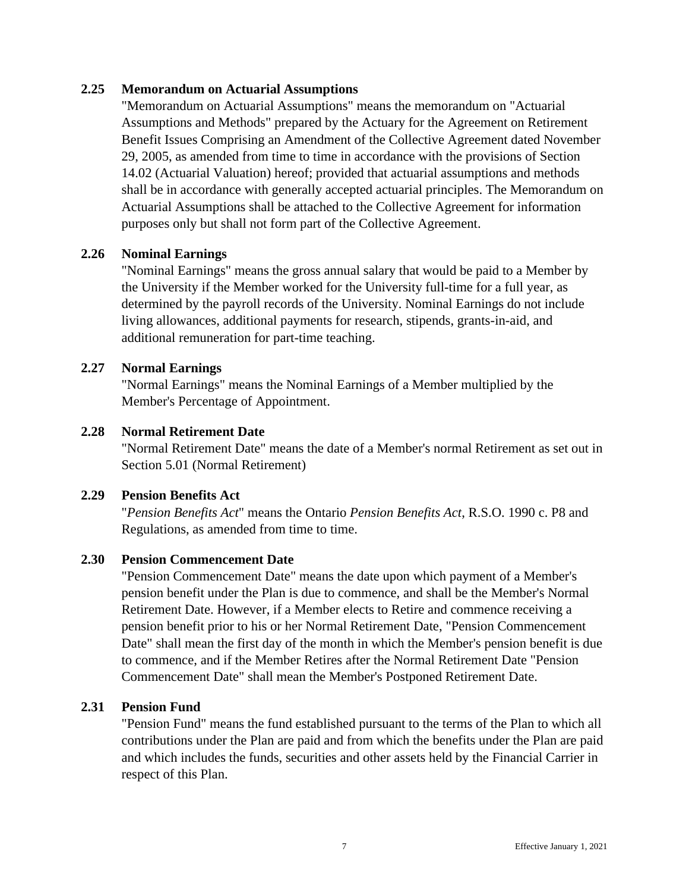### <span id="page-13-0"></span>**2.25 Memorandum on Actuarial Assumptions**

"Memorandum on Actuarial Assumptions" means the memorandum on "Actuarial Assumptions and Methods" prepared by the Actuary for the Agreement on Retirement Benefit Issues Comprising an Amendment of the Collective Agreement dated November 29, 2005, as amended from time to time in accordance with the provisions of Section 14.02 (Actuarial Valuation) hereof; provided that actuarial assumptions and methods shall be in accordance with generally accepted actuarial principles. The Memorandum on Actuarial Assumptions shall be attached to the Collective Agreement for information purposes only but shall not form part of the Collective Agreement.

#### <span id="page-13-1"></span>**2.26 Nominal Earnings**

"Nominal Earnings" means the gross annual salary that would be paid to a Member by the University if the Member worked for the University full-time for a full year, as determined by the payroll records of the University. Nominal Earnings do not include living allowances, additional payments for research, stipends, grants-in-aid, and additional remuneration for part-time teaching.

#### <span id="page-13-2"></span>**2.27 Normal Earnings**

"Normal Earnings" means the Nominal Earnings of a Member multiplied by the Member's Percentage of Appointment.

#### <span id="page-13-3"></span>**2.28 Normal Retirement Date**

"Normal Retirement Date" means the date of a Member's normal Retirement as set out in Section 5.01 (Normal Retirement)

#### <span id="page-13-4"></span>**2.29 Pension Benefits Act**

"*Pension Benefits Act*" means the Ontario *Pension Benefits Act*, R.S.O. 1990 c. P8 and Regulations, as amended from time to time.

#### <span id="page-13-5"></span>**2.30 Pension Commencement Date**

"Pension Commencement Date" means the date upon which payment of a Member's pension benefit under the Plan is due to commence, and shall be the Member's Normal Retirement Date. However, if a Member elects to Retire and commence receiving a pension benefit prior to his or her Normal Retirement Date, "Pension Commencement Date" shall mean the first day of the month in which the Member's pension benefit is due to commence, and if the Member Retires after the Normal Retirement Date "Pension Commencement Date" shall mean the Member's Postponed Retirement Date.

#### <span id="page-13-6"></span>**2.31 Pension Fund**

"Pension Fund" means the fund established pursuant to the terms of the Plan to which all contributions under the Plan are paid and from which the benefits under the Plan are paid and which includes the funds, securities and other assets held by the Financial Carrier in respect of this Plan.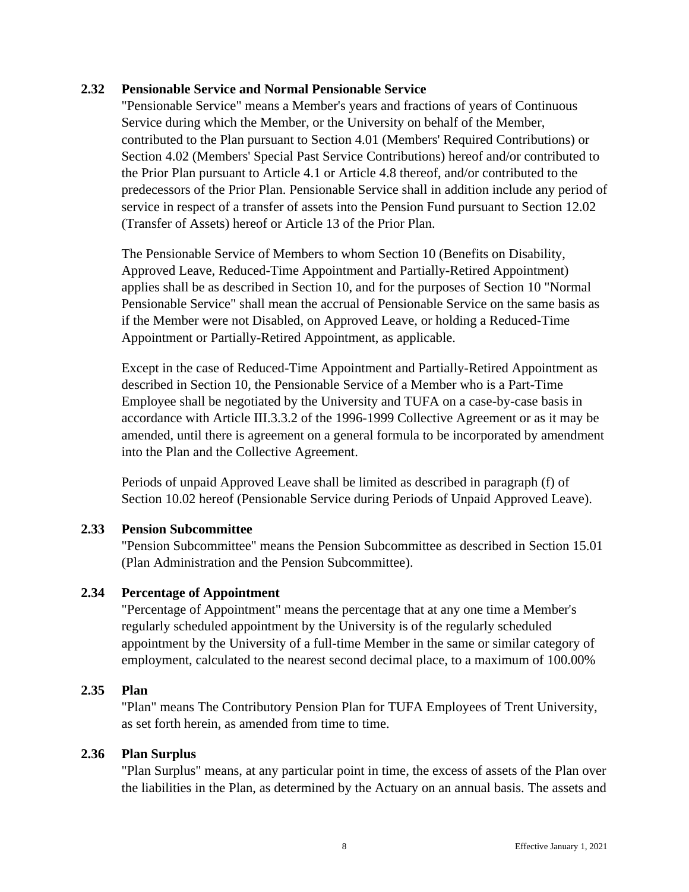#### <span id="page-14-0"></span>**2.32 Pensionable Service and Normal Pensionable Service**

"Pensionable Service" means a Member's years and fractions of years of Continuous Service during which the Member, or the University on behalf of the Member, contributed to the Plan pursuant to Section 4.01 (Members' Required Contributions) or Section 4.02 (Members' Special Past Service Contributions) hereof and/or contributed to the Prior Plan pursuant to Article 4.1 or Article 4.8 thereof, and/or contributed to the predecessors of the Prior Plan. Pensionable Service shall in addition include any period of service in respect of a transfer of assets into the Pension Fund pursuant to Section 12.02 (Transfer of Assets) hereof or Article 13 of the Prior Plan.

The Pensionable Service of Members to whom Section 10 (Benefits on Disability, Approved Leave, Reduced-Time Appointment and Partially-Retired Appointment) applies shall be as described in Section 10, and for the purposes of Section 10 "Normal Pensionable Service" shall mean the accrual of Pensionable Service on the same basis as if the Member were not Disabled, on Approved Leave, or holding a Reduced-Time Appointment or Partially-Retired Appointment, as applicable.

Except in the case of Reduced-Time Appointment and Partially-Retired Appointment as described in Section 10, the Pensionable Service of a Member who is a Part-Time Employee shall be negotiated by the University and TUFA on a case-by-case basis in accordance with Article III.3.3.2 of the 1996-1999 Collective Agreement or as it may be amended, until there is agreement on a general formula to be incorporated by amendment into the Plan and the Collective Agreement.

Periods of unpaid Approved Leave shall be limited as described in paragraph (f) of Section 10.02 hereof (Pensionable Service during Periods of Unpaid Approved Leave).

# <span id="page-14-1"></span>**2.33 Pension Subcommittee**

"Pension Subcommittee" means the Pension Subcommittee as described in Section 15.01 (Plan Administration and the Pension Subcommittee).

# <span id="page-14-2"></span>**2.34 Percentage of Appointment**

"Percentage of Appointment" means the percentage that at any one time a Member's regularly scheduled appointment by the University is of the regularly scheduled appointment by the University of a full-time Member in the same or similar category of employment, calculated to the nearest second decimal place, to a maximum of 100.00%

#### <span id="page-14-3"></span>**2.35 Plan**

"Plan" means The Contributory Pension Plan for TUFA Employees of Trent University, as set forth herein, as amended from time to time.

#### <span id="page-14-4"></span>**2.36 Plan Surplus**

"Plan Surplus" means, at any particular point in time, the excess of assets of the Plan over the liabilities in the Plan, as determined by the Actuary on an annual basis. The assets and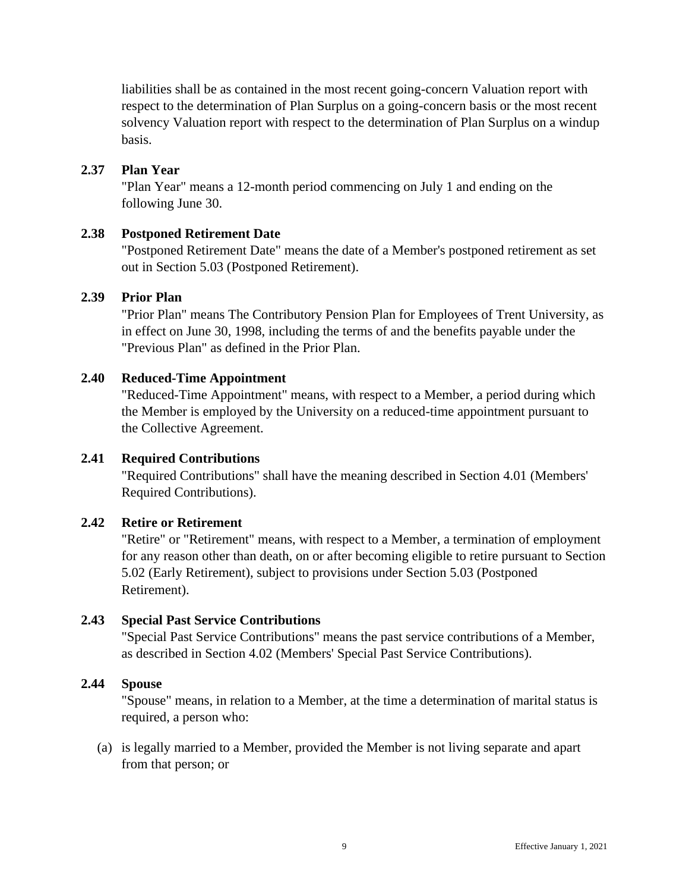liabilities shall be as contained in the most recent going-concern Valuation report with respect to the determination of Plan Surplus on a going-concern basis or the most recent solvency Valuation report with respect to the determination of Plan Surplus on a windup basis.

#### <span id="page-15-0"></span>**2.37 Plan Year**

"Plan Year" means a 12-month period commencing on July 1 and ending on the following June 30.

### <span id="page-15-1"></span>**2.38 Postponed Retirement Date**

"Postponed Retirement Date" means the date of a Member's postponed retirement as set out in Section 5.03 (Postponed Retirement).

### <span id="page-15-2"></span>**2.39 Prior Plan**

"Prior Plan" means The Contributory Pension Plan for Employees of Trent University, as in effect on June 30, 1998, including the terms of and the benefits payable under the "Previous Plan" as defined in the Prior Plan.

### <span id="page-15-3"></span>**2.40 Reduced-Time Appointment**

"Reduced-Time Appointment" means, with respect to a Member, a period during which the Member is employed by the University on a reduced-time appointment pursuant to the Collective Agreement.

#### <span id="page-15-4"></span>**2.41 Required Contributions**

"Required Contributions" shall have the meaning described in Section 4.01 (Members' Required Contributions).

#### <span id="page-15-5"></span>**2.42 Retire or Retirement**

"Retire" or "Retirement" means, with respect to a Member, a termination of employment for any reason other than death, on or after becoming eligible to retire pursuant to Section 5.02 (Early Retirement), subject to provisions under Section 5.03 (Postponed Retirement).

# <span id="page-15-6"></span>**2.43 Special Past Service Contributions**

"Special Past Service Contributions" means the past service contributions of a Member, as described in Section 4.02 (Members' Special Past Service Contributions).

#### <span id="page-15-7"></span>**2.44 Spouse**

"Spouse" means, in relation to a Member, at the time a determination of marital status is required, a person who:

(a) is legally married to a Member, provided the Member is not living separate and apart from that person; or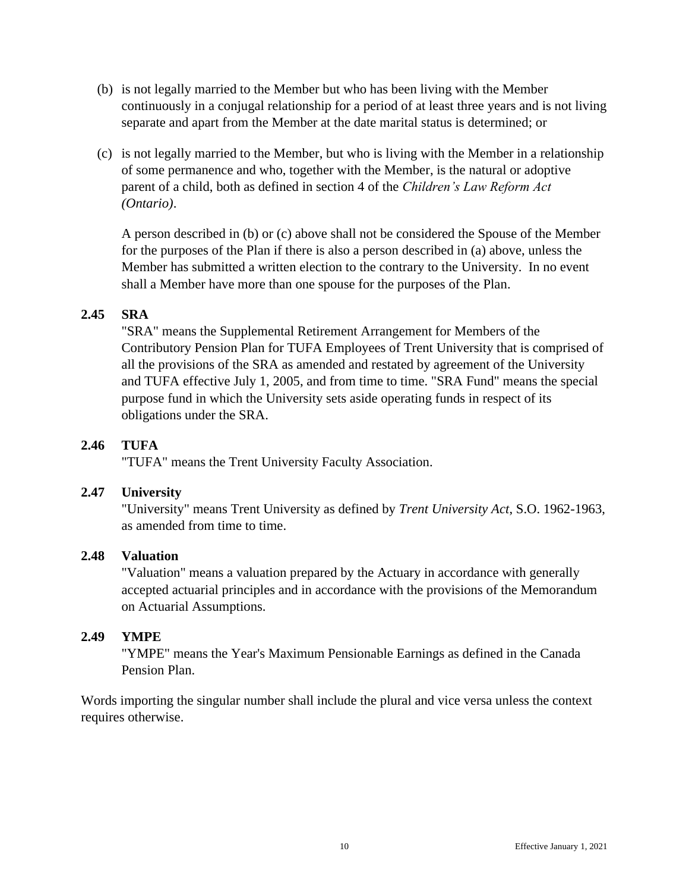- (b) is not legally married to the Member but who has been living with the Member continuously in a conjugal relationship for a period of at least three years and is not living separate and apart from the Member at the date marital status is determined; or
- (c) is not legally married to the Member, but who is living with the Member in a relationship of some permanence and who, together with the Member, is the natural or adoptive parent of a child, both as defined in section 4 of the *Children's Law Reform Act (Ontario)*.

A person described in (b) or (c) above shall not be considered the Spouse of the Member for the purposes of the Plan if there is also a person described in (a) above, unless the Member has submitted a written election to the contrary to the University. In no event shall a Member have more than one spouse for the purposes of the Plan.

# <span id="page-16-0"></span>**2.45 SRA**

"SRA" means the Supplemental Retirement Arrangement for Members of the Contributory Pension Plan for TUFA Employees of Trent University that is comprised of all the provisions of the SRA as amended and restated by agreement of the University and TUFA effective July 1, 2005, and from time to time. "SRA Fund" means the special purpose fund in which the University sets aside operating funds in respect of its obligations under the SRA.

# <span id="page-16-1"></span>**2.46 TUFA**

"TUFA" means the Trent University Faculty Association.

# <span id="page-16-2"></span>**2.47 University**

"University" means Trent University as defined by *Trent University Act*, S.O. 1962-1963, as amended from time to time.

# <span id="page-16-3"></span>**2.48 Valuation**

"Valuation" means a valuation prepared by the Actuary in accordance with generally accepted actuarial principles and in accordance with the provisions of the Memorandum on Actuarial Assumptions.

# <span id="page-16-4"></span>**2.49 YMPE**

"YMPE" means the Year's Maximum Pensionable Earnings as defined in the Canada Pension Plan.

Words importing the singular number shall include the plural and vice versa unless the context requires otherwise.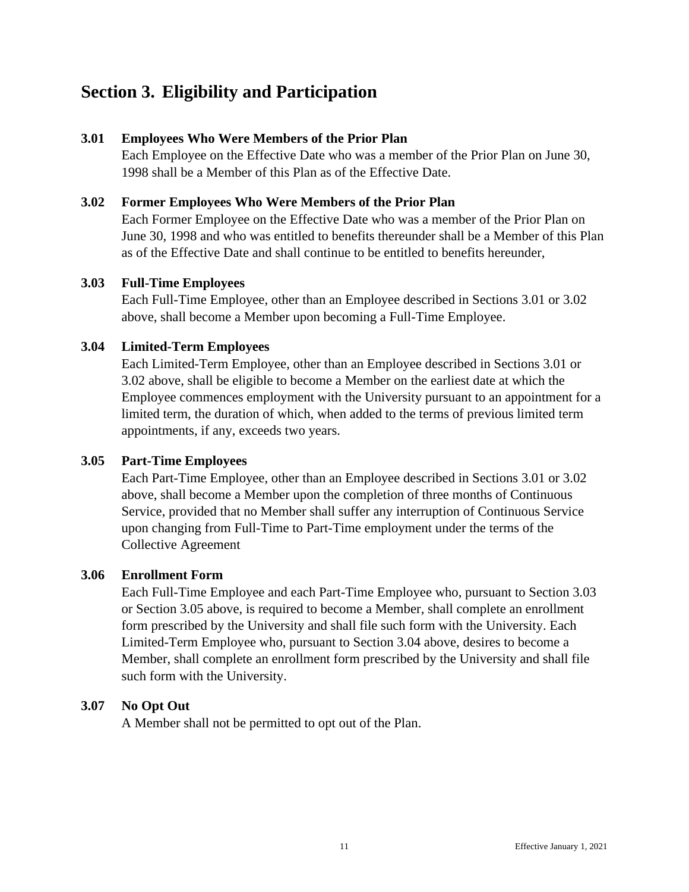# <span id="page-17-0"></span>**Section 3. Eligibility and Participation**

### <span id="page-17-1"></span>**3.01 Employees Who Were Members of the Prior Plan**

Each Employee on the Effective Date who was a member of the Prior Plan on June 30, 1998 shall be a Member of this Plan as of the Effective Date.

### <span id="page-17-2"></span>**3.02 Former Employees Who Were Members of the Prior Plan**

Each Former Employee on the Effective Date who was a member of the Prior Plan on June 30, 1998 and who was entitled to benefits thereunder shall be a Member of this Plan as of the Effective Date and shall continue to be entitled to benefits hereunder,

#### <span id="page-17-3"></span>**3.03 Full-Time Employees**

Each Full-Time Employee, other than an Employee described in Sections 3.01 or 3.02 above, shall become a Member upon becoming a Full-Time Employee.

### <span id="page-17-4"></span>**3.04 Limited-Term Employees**

Each Limited-Term Employee, other than an Employee described in Sections 3.01 or 3.02 above, shall be eligible to become a Member on the earliest date at which the Employee commences employment with the University pursuant to an appointment for a limited term, the duration of which, when added to the terms of previous limited term appointments, if any, exceeds two years.

#### <span id="page-17-5"></span>**3.05 Part-Time Employees**

Each Part-Time Employee, other than an Employee described in Sections 3.01 or 3.02 above, shall become a Member upon the completion of three months of Continuous Service, provided that no Member shall suffer any interruption of Continuous Service upon changing from Full-Time to Part-Time employment under the terms of the Collective Agreement

#### <span id="page-17-6"></span>**3.06 Enrollment Form**

Each Full-Time Employee and each Part-Time Employee who, pursuant to Section 3.03 or Section 3.05 above, is required to become a Member, shall complete an enrollment form prescribed by the University and shall file such form with the University. Each Limited-Term Employee who, pursuant to Section 3.04 above, desires to become a Member, shall complete an enrollment form prescribed by the University and shall file such form with the University.

# <span id="page-17-7"></span>**3.07 No Opt Out**

A Member shall not be permitted to opt out of the Plan.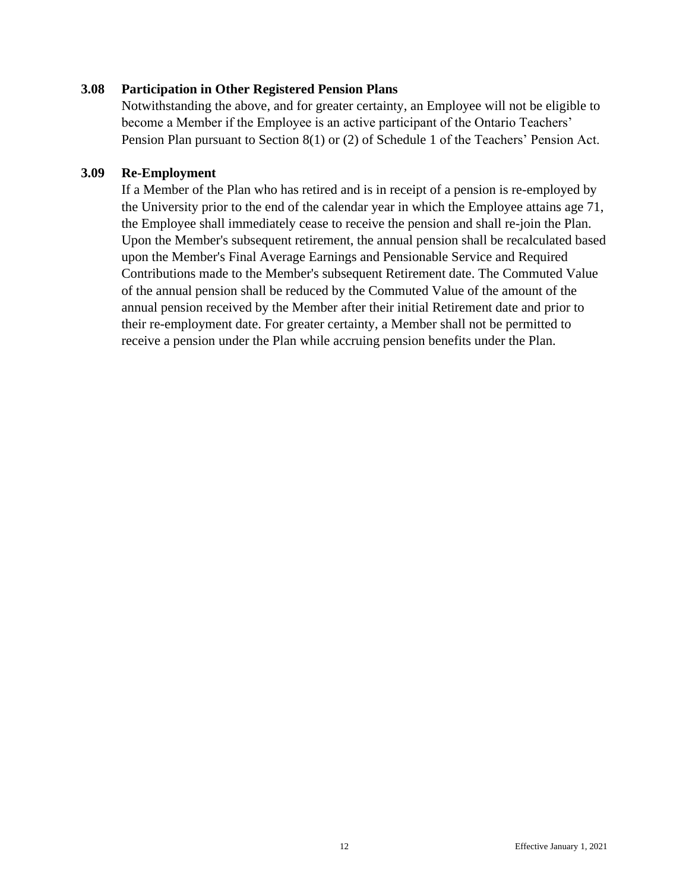#### <span id="page-18-0"></span>**3.08 Participation in Other Registered Pension Plans**

Notwithstanding the above, and for greater certainty, an Employee will not be eligible to become a Member if the Employee is an active participant of the Ontario Teachers' Pension Plan pursuant to Section 8(1) or (2) of Schedule 1 of the Teachers' Pension Act.

### **3.09 Re-Employment**

If a Member of the Plan who has retired and is in receipt of a pension is re-employed by the University prior to the end of the calendar year in which the Employee attains age 71, the Employee shall immediately cease to receive the pension and shall re-join the Plan. Upon the Member's subsequent retirement, the annual pension shall be recalculated based upon the Member's Final Average Earnings and Pensionable Service and Required Contributions made to the Member's subsequent Retirement date. The Commuted Value of the annual pension shall be reduced by the Commuted Value of the amount of the annual pension received by the Member after their initial Retirement date and prior to their re-employment date. For greater certainty, a Member shall not be permitted to receive a pension under the Plan while accruing pension benefits under the Plan.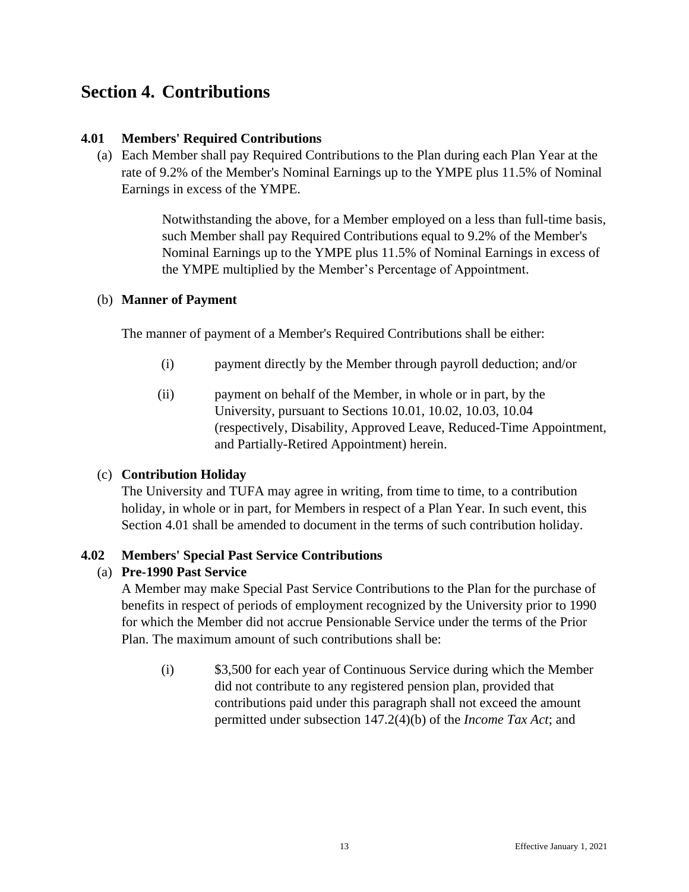# <span id="page-19-0"></span>**Section 4. Contributions**

### <span id="page-19-1"></span>**4.01 Members' Required Contributions**

(a) Each Member shall pay Required Contributions to the Plan during each Plan Year at the rate of 9.2% of the Member's Nominal Earnings up to the YMPE plus 11.5% of Nominal Earnings in excess of the YMPE.

> Notwithstanding the above, for a Member employed on a less than full-time basis, such Member shall pay Required Contributions equal to 9.2% of the Member's Nominal Earnings up to the YMPE plus 11.5% of Nominal Earnings in excess of the YMPE multiplied by the Member's Percentage of Appointment.

#### (b) **Manner of Payment**

The manner of payment of a Member's Required Contributions shall be either:

- (i) payment directly by the Member through payroll deduction; and/or
- (ii) payment on behalf of the Member, in whole or in part, by the University, pursuant to Sections 10.01, 10.02, 10.03, 10.04 (respectively, Disability, Approved Leave, Reduced-Time Appointment, and Partially-Retired Appointment) herein.

# (c) **Contribution Holiday**

The University and TUFA may agree in writing, from time to time, to a contribution holiday, in whole or in part, for Members in respect of a Plan Year. In such event, this Section 4.01 shall be amended to document in the terms of such contribution holiday.

# <span id="page-19-2"></span>**4.02 Members' Special Past Service Contributions**

# (a) **Pre-1990 Past Service**

A Member may make Special Past Service Contributions to the Plan for the purchase of benefits in respect of periods of employment recognized by the University prior to 1990 for which the Member did not accrue Pensionable Service under the terms of the Prior Plan. The maximum amount of such contributions shall be:

(i) \$3,500 for each year of Continuous Service during which the Member did not contribute to any registered pension plan, provided that contributions paid under this paragraph shall not exceed the amount permitted under subsection 147.2(4)(b) of the *Income Tax Act*; and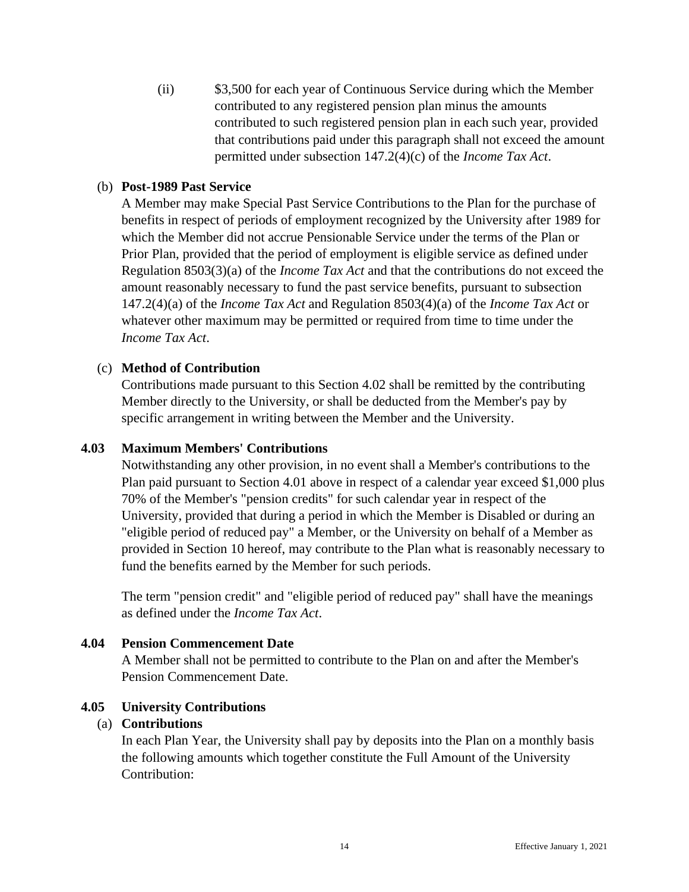(ii) \$3,500 for each year of Continuous Service during which the Member contributed to any registered pension plan minus the amounts contributed to such registered pension plan in each such year, provided that contributions paid under this paragraph shall not exceed the amount permitted under subsection 147.2(4)(c) of the *Income Tax Act*.

### (b) **Post-1989 Past Service**

A Member may make Special Past Service Contributions to the Plan for the purchase of benefits in respect of periods of employment recognized by the University after 1989 for which the Member did not accrue Pensionable Service under the terms of the Plan or Prior Plan, provided that the period of employment is eligible service as defined under Regulation 8503(3)(a) of the *Income Tax Act* and that the contributions do not exceed the amount reasonably necessary to fund the past service benefits, pursuant to subsection 147.2(4)(a) of the *Income Tax Act* and Regulation 8503(4)(a) of the *Income Tax Act* or whatever other maximum may be permitted or required from time to time under the *Income Tax Act*.

### (c) **Method of Contribution**

Contributions made pursuant to this Section 4.02 shall be remitted by the contributing Member directly to the University, or shall be deducted from the Member's pay by specific arrangement in writing between the Member and the University.

#### <span id="page-20-0"></span>**4.03 Maximum Members' Contributions**

Notwithstanding any other provision, in no event shall a Member's contributions to the Plan paid pursuant to Section 4.01 above in respect of a calendar year exceed \$1,000 plus 70% of the Member's "pension credits" for such calendar year in respect of the University, provided that during a period in which the Member is Disabled or during an "eligible period of reduced pay" a Member, or the University on behalf of a Member as provided in Section 10 hereof, may contribute to the Plan what is reasonably necessary to fund the benefits earned by the Member for such periods.

The term "pension credit" and "eligible period of reduced pay" shall have the meanings as defined under the *Income Tax Act*.

#### <span id="page-20-1"></span>**4.04 Pension Commencement Date**

A Member shall not be permitted to contribute to the Plan on and after the Member's Pension Commencement Date.

#### <span id="page-20-2"></span>**4.05 University Contributions**

#### (a) **Contributions**

In each Plan Year, the University shall pay by deposits into the Plan on a monthly basis the following amounts which together constitute the Full Amount of the University Contribution: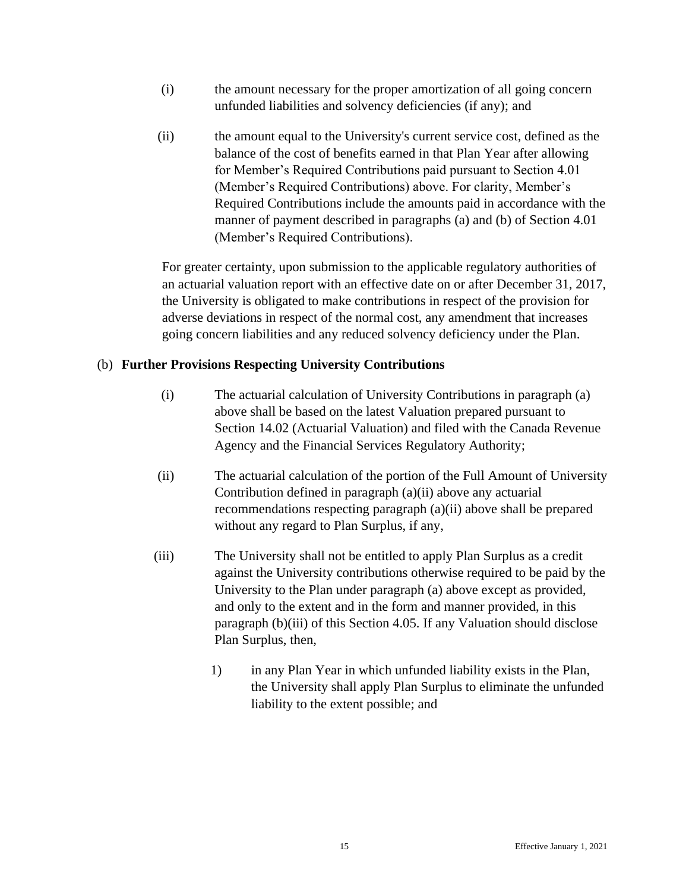- (i) the amount necessary for the proper amortization of all going concern unfunded liabilities and solvency deficiencies (if any); and
- (ii) the amount equal to the University's current service cost, defined as the balance of the cost of benefits earned in that Plan Year after allowing for Member's Required Contributions paid pursuant to Section 4.01 (Member's Required Contributions) above. For clarity, Member's Required Contributions include the amounts paid in accordance with the manner of payment described in paragraphs (a) and (b) of Section 4.01 (Member's Required Contributions).

For greater certainty, upon submission to the applicable regulatory authorities of an actuarial valuation report with an effective date on or after December 31, 2017, the University is obligated to make contributions in respect of the provision for adverse deviations in respect of the normal cost, any amendment that increases going concern liabilities and any reduced solvency deficiency under the Plan.

# (b) **Further Provisions Respecting University Contributions**

- (i) The actuarial calculation of University Contributions in paragraph (a) above shall be based on the latest Valuation prepared pursuant to Section 14.02 (Actuarial Valuation) and filed with the Canada Revenue Agency and the Financial Services Regulatory Authority;
- (ii) The actuarial calculation of the portion of the Full Amount of University Contribution defined in paragraph (a)(ii) above any actuarial recommendations respecting paragraph (a)(ii) above shall be prepared without any regard to Plan Surplus, if any,
- (iii) The University shall not be entitled to apply Plan Surplus as a credit against the University contributions otherwise required to be paid by the University to the Plan under paragraph (a) above except as provided, and only to the extent and in the form and manner provided, in this paragraph (b)(iii) of this Section 4.05. If any Valuation should disclose Plan Surplus, then,
	- 1) in any Plan Year in which unfunded liability exists in the Plan, the University shall apply Plan Surplus to eliminate the unfunded liability to the extent possible; and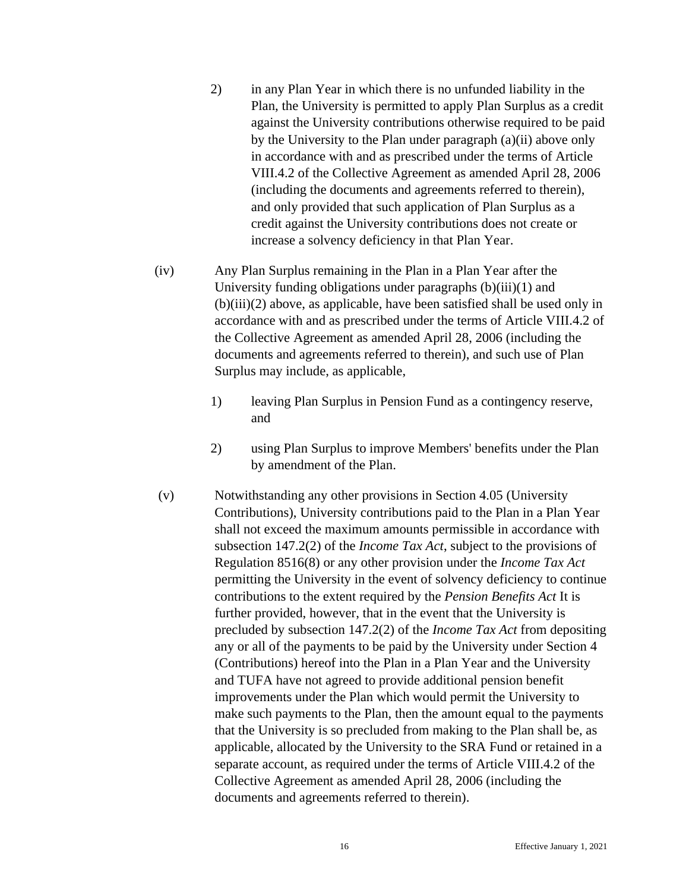- 2) in any Plan Year in which there is no unfunded liability in the Plan, the University is permitted to apply Plan Surplus as a credit against the University contributions otherwise required to be paid by the University to the Plan under paragraph (a)(ii) above only in accordance with and as prescribed under the terms of Article VIII.4.2 of the Collective Agreement as amended April 28, 2006 (including the documents and agreements referred to therein), and only provided that such application of Plan Surplus as a credit against the University contributions does not create or increase a solvency deficiency in that Plan Year.
- (iv) Any Plan Surplus remaining in the Plan in a Plan Year after the University funding obligations under paragraphs  $(b)(iii)(1)$  and (b)(iii)(2) above, as applicable, have been satisfied shall be used only in accordance with and as prescribed under the terms of Article VIII.4.2 of the Collective Agreement as amended April 28, 2006 (including the documents and agreements referred to therein), and such use of Plan Surplus may include, as applicable,
	- 1) leaving Plan Surplus in Pension Fund as a contingency reserve, and
	- 2) using Plan Surplus to improve Members' benefits under the Plan by amendment of the Plan.
- (v) Notwithstanding any other provisions in Section 4.05 (University Contributions), University contributions paid to the Plan in a Plan Year shall not exceed the maximum amounts permissible in accordance with subsection 147.2(2) of the *Income Tax Act*, subject to the provisions of Regulation 8516(8) or any other provision under the *Income Tax Act* permitting the University in the event of solvency deficiency to continue contributions to the extent required by the *Pension Benefits Act* It is further provided, however, that in the event that the University is precluded by subsection 147.2(2) of the *Income Tax Act* from depositing any or all of the payments to be paid by the University under Section 4 (Contributions) hereof into the Plan in a Plan Year and the University and TUFA have not agreed to provide additional pension benefit improvements under the Plan which would permit the University to make such payments to the Plan, then the amount equal to the payments that the University is so precluded from making to the Plan shall be, as applicable, allocated by the University to the SRA Fund or retained in a separate account, as required under the terms of Article VIII.4.2 of the Collective Agreement as amended April 28, 2006 (including the documents and agreements referred to therein).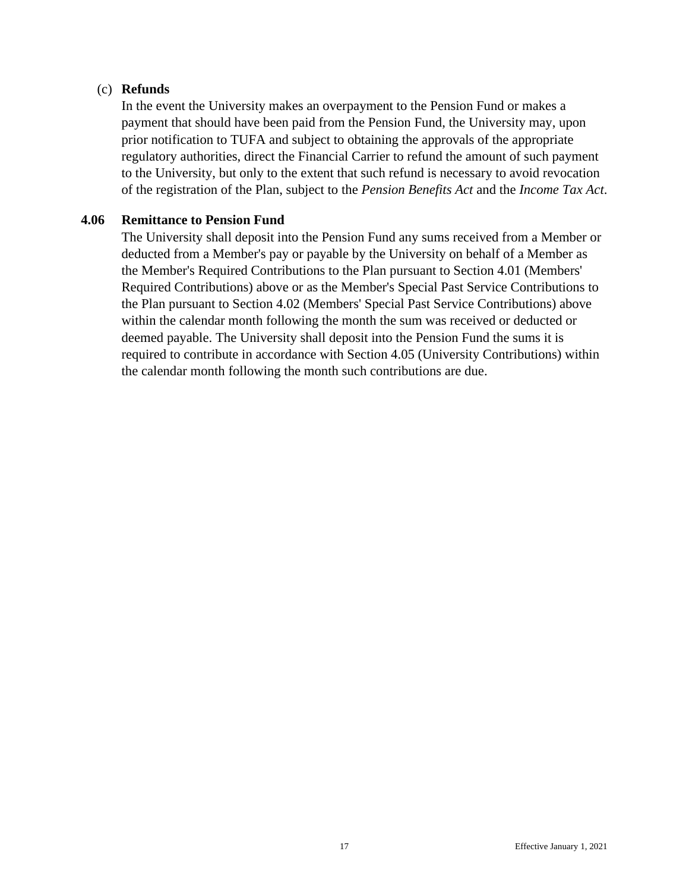### (c) **Refunds**

In the event the University makes an overpayment to the Pension Fund or makes a payment that should have been paid from the Pension Fund, the University may, upon prior notification to TUFA and subject to obtaining the approvals of the appropriate regulatory authorities, direct the Financial Carrier to refund the amount of such payment to the University, but only to the extent that such refund is necessary to avoid revocation of the registration of the Plan, subject to the *Pension Benefits Act* and the *Income Tax Act*.

#### <span id="page-23-0"></span>**4.06 Remittance to Pension Fund**

The University shall deposit into the Pension Fund any sums received from a Member or deducted from a Member's pay or payable by the University on behalf of a Member as the Member's Required Contributions to the Plan pursuant to Section 4.01 (Members' Required Contributions) above or as the Member's Special Past Service Contributions to the Plan pursuant to Section 4.02 (Members' Special Past Service Contributions) above within the calendar month following the month the sum was received or deducted or deemed payable. The University shall deposit into the Pension Fund the sums it is required to contribute in accordance with Section 4.05 (University Contributions) within the calendar month following the month such contributions are due.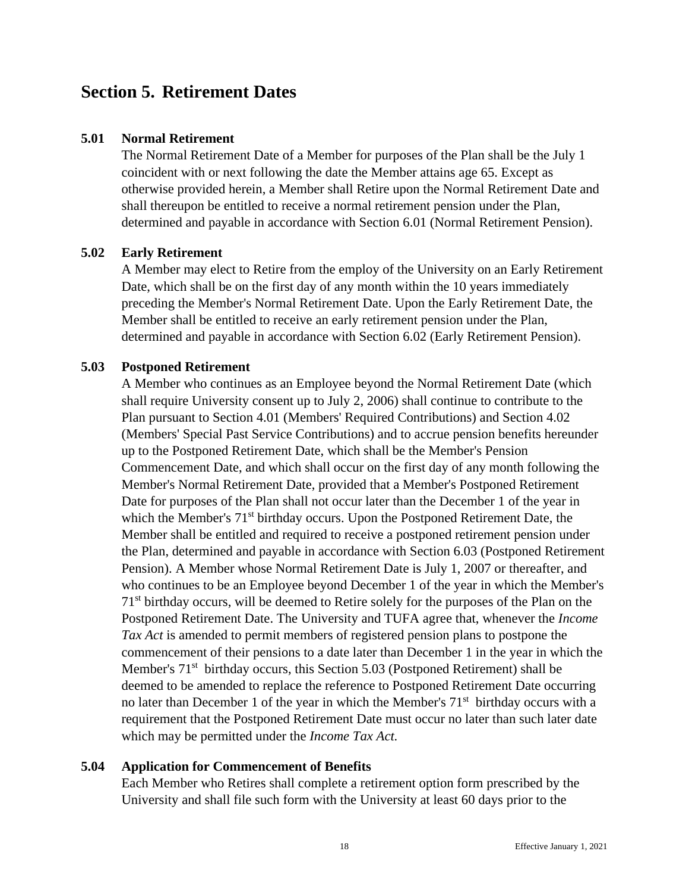# <span id="page-24-0"></span>**Section 5. Retirement Dates**

#### <span id="page-24-1"></span>**5.01 Normal Retirement**

The Normal Retirement Date of a Member for purposes of the Plan shall be the July 1 coincident with or next following the date the Member attains age 65. Except as otherwise provided herein, a Member shall Retire upon the Normal Retirement Date and shall thereupon be entitled to receive a normal retirement pension under the Plan, determined and payable in accordance with Section 6.01 (Normal Retirement Pension).

#### <span id="page-24-2"></span>**5.02 Early Retirement**

A Member may elect to Retire from the employ of the University on an Early Retirement Date, which shall be on the first day of any month within the 10 years immediately preceding the Member's Normal Retirement Date. Upon the Early Retirement Date, the Member shall be entitled to receive an early retirement pension under the Plan, determined and payable in accordance with Section 6.02 (Early Retirement Pension).

# <span id="page-24-3"></span>**5.03 Postponed Retirement**

A Member who continues as an Employee beyond the Normal Retirement Date (which shall require University consent up to July 2, 2006) shall continue to contribute to the Plan pursuant to Section 4.01 (Members' Required Contributions) and Section 4.02 (Members' Special Past Service Contributions) and to accrue pension benefits hereunder up to the Postponed Retirement Date, which shall be the Member's Pension Commencement Date, and which shall occur on the first day of any month following the Member's Normal Retirement Date, provided that a Member's Postponed Retirement Date for purposes of the Plan shall not occur later than the December 1 of the year in which the Member's 71<sup>st</sup> birthday occurs. Upon the Postponed Retirement Date, the Member shall be entitled and required to receive a postponed retirement pension under the Plan, determined and payable in accordance with Section 6.03 (Postponed Retirement Pension). A Member whose Normal Retirement Date is July 1, 2007 or thereafter, and who continues to be an Employee beyond December 1 of the year in which the Member's 71st birthday occurs, will be deemed to Retire solely for the purposes of the Plan on the Postponed Retirement Date. The University and TUFA agree that, whenever the *Income Tax Act* is amended to permit members of registered pension plans to postpone the commencement of their pensions to a date later than December 1 in the year in which the Member's  $71<sup>st</sup>$  birthday occurs, this Section 5.03 (Postponed Retirement) shall be deemed to be amended to replace the reference to Postponed Retirement Date occurring no later than December 1 of the year in which the Member's  $71<sup>st</sup>$  birthday occurs with a requirement that the Postponed Retirement Date must occur no later than such later date which may be permitted under the *Income Tax Act.*

#### <span id="page-24-4"></span>**5.04 Application for Commencement of Benefits**

Each Member who Retires shall complete a retirement option form prescribed by the University and shall file such form with the University at least 60 days prior to the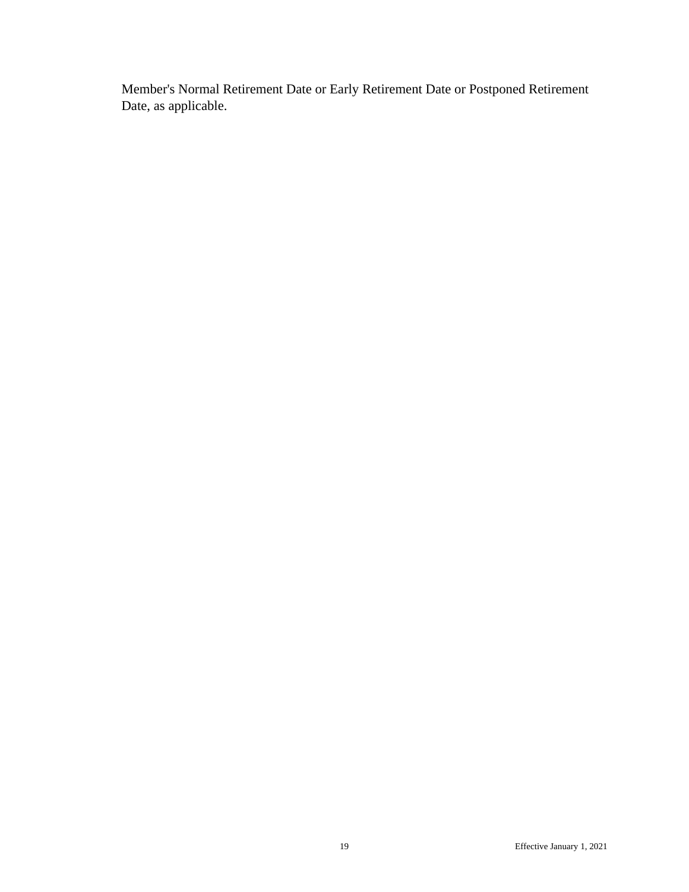Member's Normal Retirement Date or Early Retirement Date or Postponed Retirement Date, as applicable.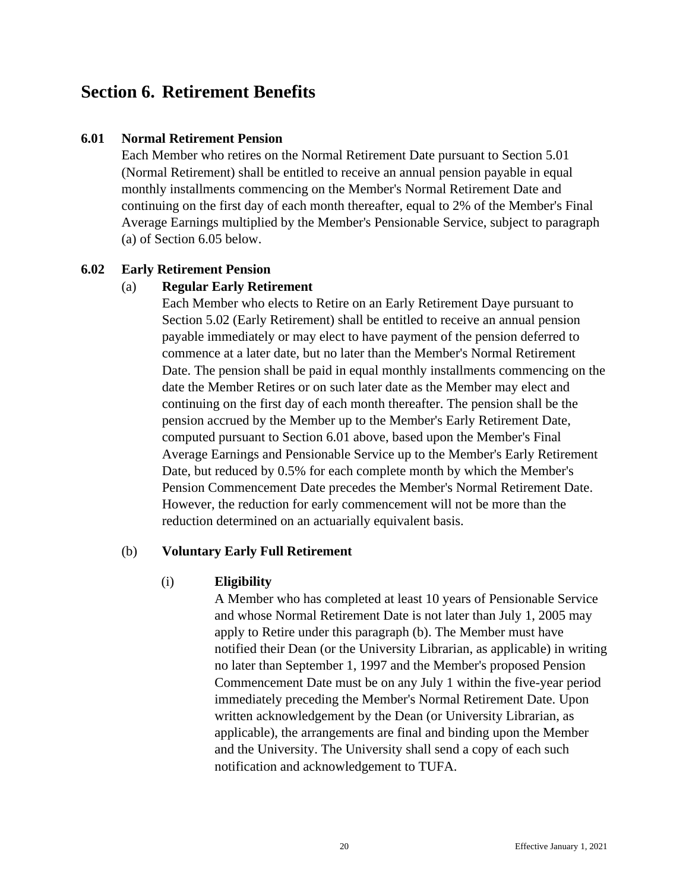# <span id="page-26-0"></span>**Section 6. Retirement Benefits**

#### <span id="page-26-1"></span>**6.01 Normal Retirement Pension**

Each Member who retires on the Normal Retirement Date pursuant to Section 5.01 (Normal Retirement) shall be entitled to receive an annual pension payable in equal monthly installments commencing on the Member's Normal Retirement Date and continuing on the first day of each month thereafter, equal to 2% of the Member's Final Average Earnings multiplied by the Member's Pensionable Service, subject to paragraph (a) of Section 6.05 below.

### <span id="page-26-2"></span>**6.02 Early Retirement Pension**

### (a) **Regular Early Retirement**

Each Member who elects to Retire on an Early Retirement Daye pursuant to Section 5.02 (Early Retirement) shall be entitled to receive an annual pension payable immediately or may elect to have payment of the pension deferred to commence at a later date, but no later than the Member's Normal Retirement Date. The pension shall be paid in equal monthly installments commencing on the date the Member Retires or on such later date as the Member may elect and continuing on the first day of each month thereafter. The pension shall be the pension accrued by the Member up to the Member's Early Retirement Date, computed pursuant to Section 6.01 above, based upon the Member's Final Average Earnings and Pensionable Service up to the Member's Early Retirement Date, but reduced by 0.5% for each complete month by which the Member's Pension Commencement Date precedes the Member's Normal Retirement Date. However, the reduction for early commencement will not be more than the reduction determined on an actuarially equivalent basis.

# (b) **Voluntary Early Full Retirement**

#### (i) **Eligibility**

A Member who has completed at least 10 years of Pensionable Service and whose Normal Retirement Date is not later than July 1, 2005 may apply to Retire under this paragraph (b). The Member must have notified their Dean (or the University Librarian, as applicable) in writing no later than September 1, 1997 and the Member's proposed Pension Commencement Date must be on any July 1 within the five-year period immediately preceding the Member's Normal Retirement Date. Upon written acknowledgement by the Dean (or University Librarian, as applicable), the arrangements are final and binding upon the Member and the University. The University shall send a copy of each such notification and acknowledgement to TUFA.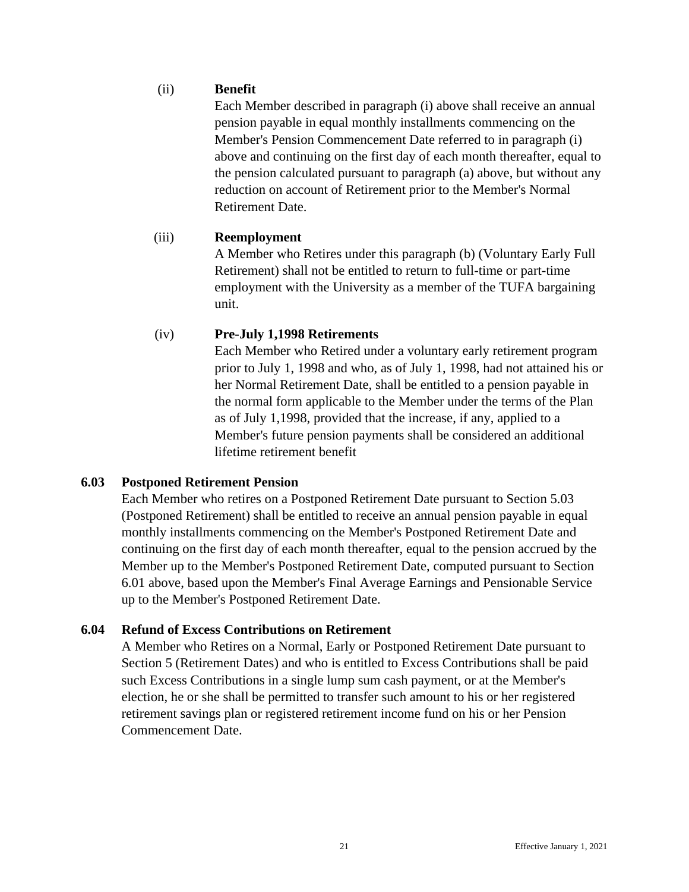# (ii) **Benefit**

Each Member described in paragraph (i) above shall receive an annual pension payable in equal monthly installments commencing on the Member's Pension Commencement Date referred to in paragraph (i) above and continuing on the first day of each month thereafter, equal to the pension calculated pursuant to paragraph (a) above, but without any reduction on account of Retirement prior to the Member's Normal Retirement Date.

### (iii) **Reemployment**

A Member who Retires under this paragraph (b) (Voluntary Early Full Retirement) shall not be entitled to return to full-time or part-time employment with the University as a member of the TUFA bargaining unit.

# (iv) **Pre-July 1,1998 Retirements**

Each Member who Retired under a voluntary early retirement program prior to July 1, 1998 and who, as of July 1, 1998, had not attained his or her Normal Retirement Date, shall be entitled to a pension payable in the normal form applicable to the Member under the terms of the Plan as of July 1,1998, provided that the increase, if any, applied to a Member's future pension payments shall be considered an additional lifetime retirement benefit

# <span id="page-27-0"></span>**6.03 Postponed Retirement Pension**

Each Member who retires on a Postponed Retirement Date pursuant to Section 5.03 (Postponed Retirement) shall be entitled to receive an annual pension payable in equal monthly installments commencing on the Member's Postponed Retirement Date and continuing on the first day of each month thereafter, equal to the pension accrued by the Member up to the Member's Postponed Retirement Date, computed pursuant to Section 6.01 above, based upon the Member's Final Average Earnings and Pensionable Service up to the Member's Postponed Retirement Date.

# <span id="page-27-1"></span>**6.04 Refund of Excess Contributions on Retirement**

A Member who Retires on a Normal, Early or Postponed Retirement Date pursuant to Section 5 (Retirement Dates) and who is entitled to Excess Contributions shall be paid such Excess Contributions in a single lump sum cash payment, or at the Member's election, he or she shall be permitted to transfer such amount to his or her registered retirement savings plan or registered retirement income fund on his or her Pension Commencement Date.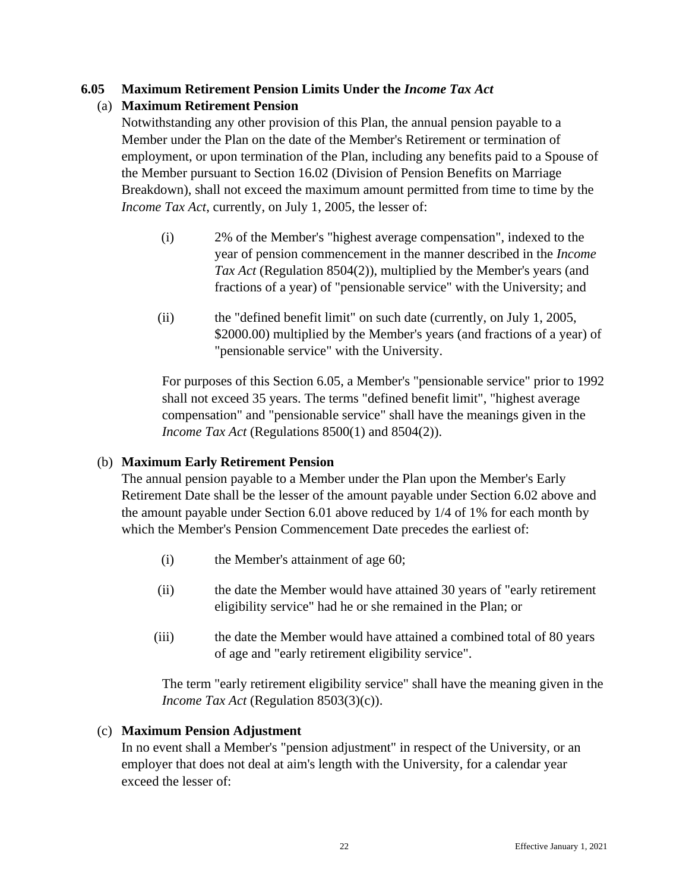# <span id="page-28-0"></span>**6.05 Maximum Retirement Pension Limits Under the** *Income Tax Act*

# (a) **Maximum Retirement Pension**

Notwithstanding any other provision of this Plan, the annual pension payable to a Member under the Plan on the date of the Member's Retirement or termination of employment, or upon termination of the Plan, including any benefits paid to a Spouse of the Member pursuant to Section 16.02 (Division of Pension Benefits on Marriage Breakdown), shall not exceed the maximum amount permitted from time to time by the *Income Tax Act*, currently, on July 1, 2005, the lesser of:

- (i) 2% of the Member's "highest average compensation", indexed to the year of pension commencement in the manner described in the *Income Tax Act* (Regulation 8504(2)), multiplied by the Member's years (and fractions of a year) of "pensionable service" with the University; and
- (ii) the "defined benefit limit" on such date (currently, on July 1, 2005, \$2000.00) multiplied by the Member's years (and fractions of a year) of "pensionable service" with the University.

For purposes of this Section 6.05, a Member's "pensionable service" prior to 1992 shall not exceed 35 years. The terms "defined benefit limit", "highest average compensation" and "pensionable service" shall have the meanings given in the *Income Tax Act* (Regulations 8500(1) and 8504(2)).

# (b) **Maximum Early Retirement Pension**

The annual pension payable to a Member under the Plan upon the Member's Early Retirement Date shall be the lesser of the amount payable under Section 6.02 above and the amount payable under Section 6.01 above reduced by 1/4 of 1% for each month by which the Member's Pension Commencement Date precedes the earliest of:

- (i) the Member's attainment of age 60;
- (ii) the date the Member would have attained 30 years of "early retirement eligibility service" had he or she remained in the Plan; or
- (iii) the date the Member would have attained a combined total of 80 years of age and "early retirement eligibility service".

The term "early retirement eligibility service" shall have the meaning given in the *Income Tax Act* (Regulation 8503(3)(c)).

# (c) **Maximum Pension Adjustment**

In no event shall a Member's "pension adjustment" in respect of the University, or an employer that does not deal at aim's length with the University, for a calendar year exceed the lesser of: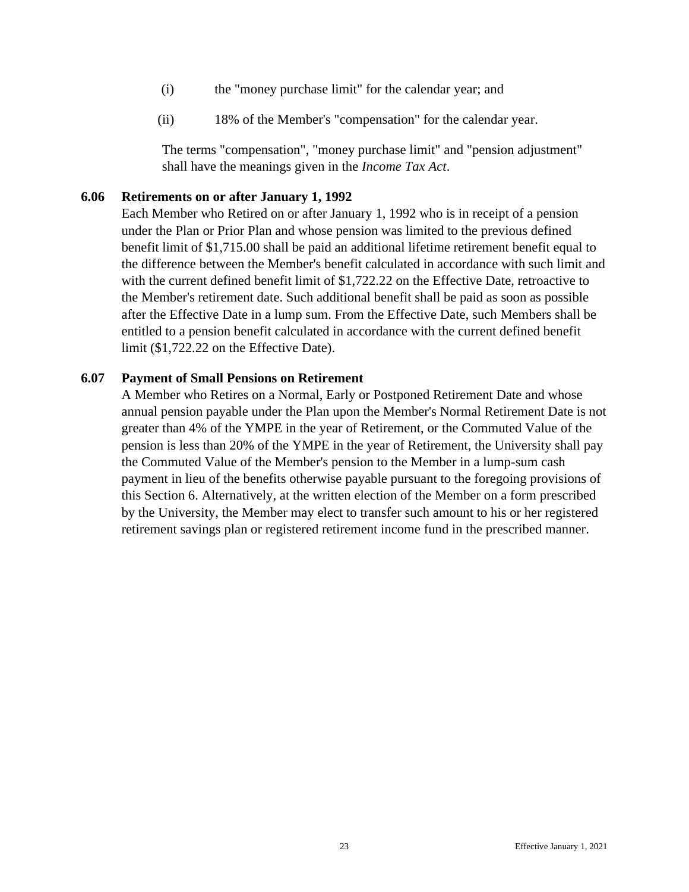- (i) the "money purchase limit" for the calendar year; and
- (ii) 18% of the Member's "compensation" for the calendar year.

The terms "compensation", "money purchase limit" and "pension adjustment" shall have the meanings given in the *Income Tax Act*.

### <span id="page-29-0"></span>**6.06 Retirements on or after January 1, 1992**

Each Member who Retired on or after January 1, 1992 who is in receipt of a pension under the Plan or Prior Plan and whose pension was limited to the previous defined benefit limit of \$1,715.00 shall be paid an additional lifetime retirement benefit equal to the difference between the Member's benefit calculated in accordance with such limit and with the current defined benefit limit of \$1,722.22 on the Effective Date, retroactive to the Member's retirement date. Such additional benefit shall be paid as soon as possible after the Effective Date in a lump sum. From the Effective Date, such Members shall be entitled to a pension benefit calculated in accordance with the current defined benefit limit (\$1,722.22 on the Effective Date).

### <span id="page-29-1"></span>**6.07 Payment of Small Pensions on Retirement**

A Member who Retires on a Normal, Early or Postponed Retirement Date and whose annual pension payable under the Plan upon the Member's Normal Retirement Date is not greater than 4% of the YMPE in the year of Retirement, or the Commuted Value of the pension is less than 20% of the YMPE in the year of Retirement, the University shall pay the Commuted Value of the Member's pension to the Member in a lump-sum cash payment in lieu of the benefits otherwise payable pursuant to the foregoing provisions of this Section 6. Alternatively, at the written election of the Member on a form prescribed by the University, the Member may elect to transfer such amount to his or her registered retirement savings plan or registered retirement income fund in the prescribed manner.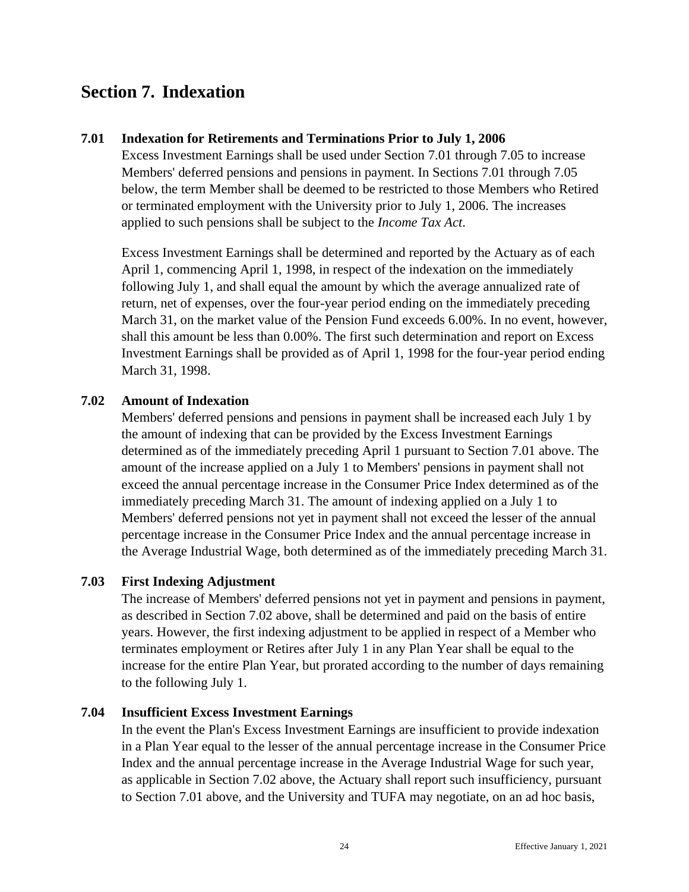# <span id="page-30-0"></span>**Section 7. Indexation**

### <span id="page-30-1"></span>**7.01 Indexation for Retirements and Terminations Prior to July 1, 2006**

Excess Investment Earnings shall be used under Section 7.01 through 7.05 to increase Members' deferred pensions and pensions in payment. In Sections 7.01 through 7.05 below, the term Member shall be deemed to be restricted to those Members who Retired or terminated employment with the University prior to July 1, 2006. The increases applied to such pensions shall be subject to the *Income Tax Act*.

Excess Investment Earnings shall be determined and reported by the Actuary as of each April 1, commencing April 1, 1998, in respect of the indexation on the immediately following July 1, and shall equal the amount by which the average annualized rate of return, net of expenses, over the four-year period ending on the immediately preceding March 31, on the market value of the Pension Fund exceeds 6.00%. In no event, however, shall this amount be less than 0.00%. The first such determination and report on Excess Investment Earnings shall be provided as of April 1, 1998 for the four-year period ending March 31, 1998.

### <span id="page-30-2"></span>**7.02 Amount of Indexation**

Members' deferred pensions and pensions in payment shall be increased each July 1 by the amount of indexing that can be provided by the Excess Investment Earnings determined as of the immediately preceding April 1 pursuant to Section 7.01 above. The amount of the increase applied on a July 1 to Members' pensions in payment shall not exceed the annual percentage increase in the Consumer Price Index determined as of the immediately preceding March 31. The amount of indexing applied on a July 1 to Members' deferred pensions not yet in payment shall not exceed the lesser of the annual percentage increase in the Consumer Price Index and the annual percentage increase in the Average Industrial Wage, both determined as of the immediately preceding March 31.

#### <span id="page-30-3"></span>**7.03 First Indexing Adjustment**

The increase of Members' deferred pensions not yet in payment and pensions in payment, as described in Section 7.02 above, shall be determined and paid on the basis of entire years. However, the first indexing adjustment to be applied in respect of a Member who terminates employment or Retires after July 1 in any Plan Year shall be equal to the increase for the entire Plan Year, but prorated according to the number of days remaining to the following July 1.

#### <span id="page-30-4"></span>**7.04 Insufficient Excess Investment Earnings**

In the event the Plan's Excess Investment Earnings are insufficient to provide indexation in a Plan Year equal to the lesser of the annual percentage increase in the Consumer Price Index and the annual percentage increase in the Average Industrial Wage for such year, as applicable in Section 7.02 above, the Actuary shall report such insufficiency, pursuant to Section 7.01 above, and the University and TUFA may negotiate, on an ad hoc basis,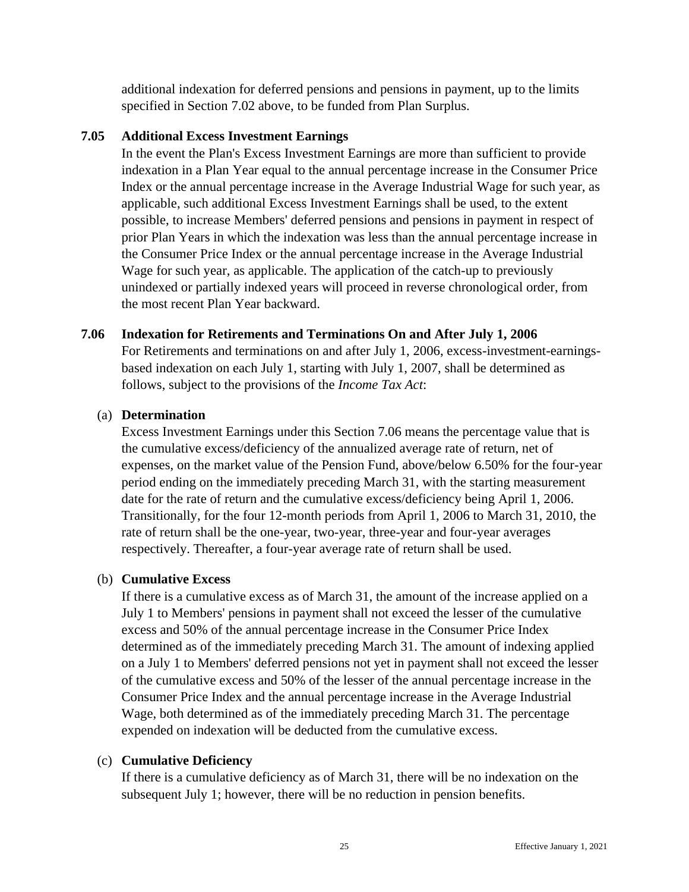additional indexation for deferred pensions and pensions in payment, up to the limits specified in Section 7.02 above, to be funded from Plan Surplus.

#### <span id="page-31-0"></span>**7.05 Additional Excess Investment Earnings**

In the event the Plan's Excess Investment Earnings are more than sufficient to provide indexation in a Plan Year equal to the annual percentage increase in the Consumer Price Index or the annual percentage increase in the Average Industrial Wage for such year, as applicable, such additional Excess Investment Earnings shall be used, to the extent possible, to increase Members' deferred pensions and pensions in payment in respect of prior Plan Years in which the indexation was less than the annual percentage increase in the Consumer Price Index or the annual percentage increase in the Average Industrial Wage for such year, as applicable. The application of the catch-up to previously unindexed or partially indexed years will proceed in reverse chronological order, from the most recent Plan Year backward.

#### <span id="page-31-1"></span>**7.06 Indexation for Retirements and Terminations On and After July 1, 2006**

For Retirements and terminations on and after July 1, 2006, excess-investment-earningsbased indexation on each July 1, starting with July 1, 2007, shall be determined as follows, subject to the provisions of the *Income Tax Act*:

#### (a) **Determination**

Excess Investment Earnings under this Section 7.06 means the percentage value that is the cumulative excess/deficiency of the annualized average rate of return, net of expenses, on the market value of the Pension Fund, above/below 6.50% for the four-year period ending on the immediately preceding March 31, with the starting measurement date for the rate of return and the cumulative excess/deficiency being April 1, 2006. Transitionally, for the four 12-month periods from April 1, 2006 to March 31, 2010, the rate of return shall be the one-year, two-year, three-year and four-year averages respectively. Thereafter, a four-year average rate of return shall be used.

#### (b) **Cumulative Excess**

If there is a cumulative excess as of March 31, the amount of the increase applied on a July 1 to Members' pensions in payment shall not exceed the lesser of the cumulative excess and 50% of the annual percentage increase in the Consumer Price Index determined as of the immediately preceding March 31. The amount of indexing applied on a July 1 to Members' deferred pensions not yet in payment shall not exceed the lesser of the cumulative excess and 50% of the lesser of the annual percentage increase in the Consumer Price Index and the annual percentage increase in the Average Industrial Wage, both determined as of the immediately preceding March 31. The percentage expended on indexation will be deducted from the cumulative excess.

#### (c) **Cumulative Deficiency**

If there is a cumulative deficiency as of March 31, there will be no indexation on the subsequent July 1; however, there will be no reduction in pension benefits.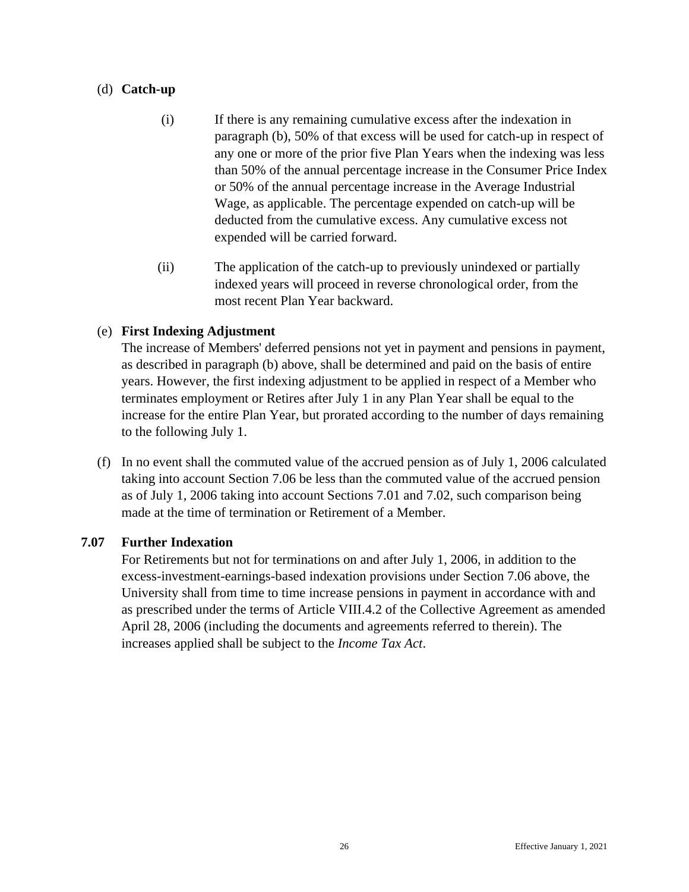### (d) **Catch-up**

- (i) If there is any remaining cumulative excess after the indexation in paragraph (b), 50% of that excess will be used for catch-up in respect of any one or more of the prior five Plan Years when the indexing was less than 50% of the annual percentage increase in the Consumer Price Index or 50% of the annual percentage increase in the Average Industrial Wage, as applicable. The percentage expended on catch-up will be deducted from the cumulative excess. Any cumulative excess not expended will be carried forward.
- (ii) The application of the catch-up to previously unindexed or partially indexed years will proceed in reverse chronological order, from the most recent Plan Year backward.

# (e) **First Indexing Adjustment**

The increase of Members' deferred pensions not yet in payment and pensions in payment, as described in paragraph (b) above, shall be determined and paid on the basis of entire years. However, the first indexing adjustment to be applied in respect of a Member who terminates employment or Retires after July 1 in any Plan Year shall be equal to the increase for the entire Plan Year, but prorated according to the number of days remaining to the following July 1.

(f) In no event shall the commuted value of the accrued pension as of July 1, 2006 calculated taking into account Section 7.06 be less than the commuted value of the accrued pension as of July 1, 2006 taking into account Sections 7.01 and 7.02, such comparison being made at the time of termination or Retirement of a Member.

#### <span id="page-32-0"></span>**7.07 Further Indexation**

For Retirements but not for terminations on and after July 1, 2006, in addition to the excess-investment-earnings-based indexation provisions under Section 7.06 above, the University shall from time to time increase pensions in payment in accordance with and as prescribed under the terms of Article VIII.4.2 of the Collective Agreement as amended April 28, 2006 (including the documents and agreements referred to therein). The increases applied shall be subject to the *Income Tax Act*.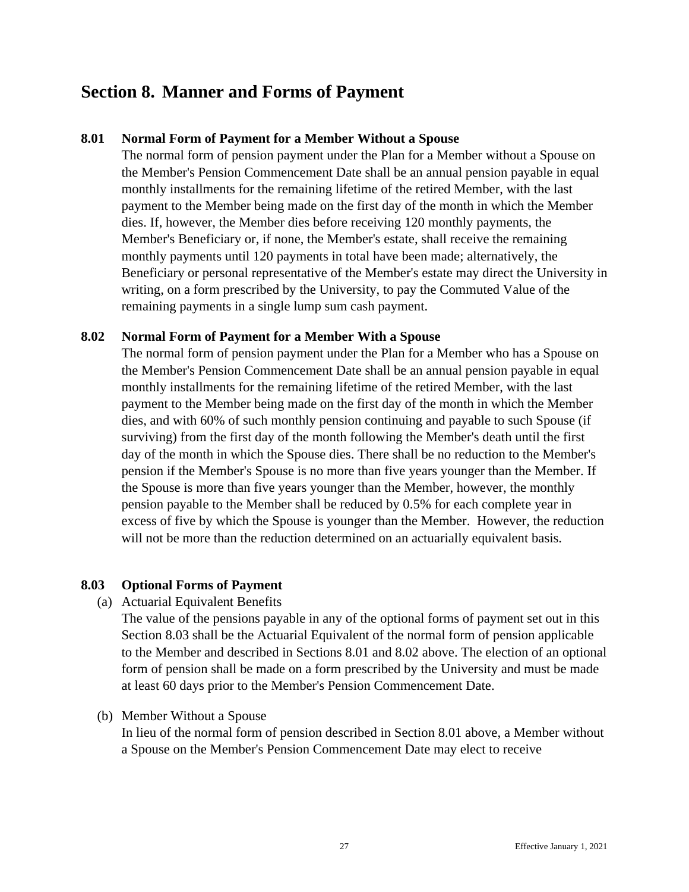# <span id="page-33-0"></span>**Section 8. Manner and Forms of Payment**

### <span id="page-33-1"></span>**8.01 Normal Form of Payment for a Member Without a Spouse**

The normal form of pension payment under the Plan for a Member without a Spouse on the Member's Pension Commencement Date shall be an annual pension payable in equal monthly installments for the remaining lifetime of the retired Member, with the last payment to the Member being made on the first day of the month in which the Member dies. If, however, the Member dies before receiving 120 monthly payments, the Member's Beneficiary or, if none, the Member's estate, shall receive the remaining monthly payments until 120 payments in total have been made; alternatively, the Beneficiary or personal representative of the Member's estate may direct the University in writing, on a form prescribed by the University, to pay the Commuted Value of the remaining payments in a single lump sum cash payment.

#### <span id="page-33-2"></span>**8.02 Normal Form of Payment for a Member With a Spouse**

The normal form of pension payment under the Plan for a Member who has a Spouse on the Member's Pension Commencement Date shall be an annual pension payable in equal monthly installments for the remaining lifetime of the retired Member, with the last payment to the Member being made on the first day of the month in which the Member dies, and with 60% of such monthly pension continuing and payable to such Spouse (if surviving) from the first day of the month following the Member's death until the first day of the month in which the Spouse dies. There shall be no reduction to the Member's pension if the Member's Spouse is no more than five years younger than the Member. If the Spouse is more than five years younger than the Member, however, the monthly pension payable to the Member shall be reduced by 0.5% for each complete year in excess of five by which the Spouse is younger than the Member. However, the reduction will not be more than the reduction determined on an actuarially equivalent basis.

#### <span id="page-33-3"></span>**8.03 Optional Forms of Payment**

(a) Actuarial Equivalent Benefits

The value of the pensions payable in any of the optional forms of payment set out in this Section 8.03 shall be the Actuarial Equivalent of the normal form of pension applicable to the Member and described in Sections 8.01 and 8.02 above. The election of an optional form of pension shall be made on a form prescribed by the University and must be made at least 60 days prior to the Member's Pension Commencement Date.

#### (b) Member Without a Spouse

In lieu of the normal form of pension described in Section 8.01 above, a Member without a Spouse on the Member's Pension Commencement Date may elect to receive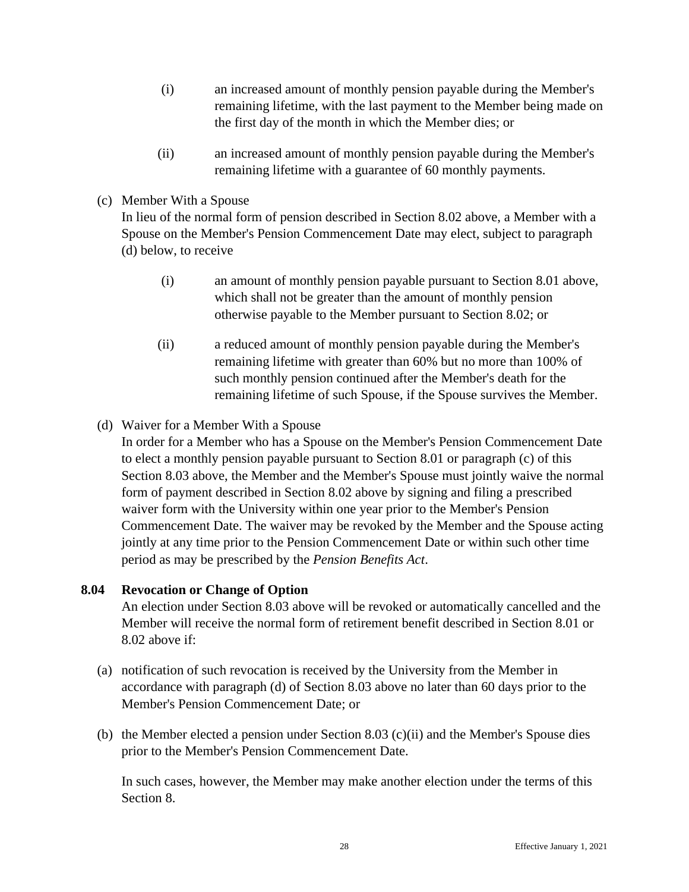- (i) an increased amount of monthly pension payable during the Member's remaining lifetime, with the last payment to the Member being made on the first day of the month in which the Member dies; or
- (ii) an increased amount of monthly pension payable during the Member's remaining lifetime with a guarantee of 60 monthly payments.
- (c) Member With a Spouse

In lieu of the normal form of pension described in Section 8.02 above, a Member with a Spouse on the Member's Pension Commencement Date may elect, subject to paragraph (d) below, to receive

- (i) an amount of monthly pension payable pursuant to Section 8.01 above, which shall not be greater than the amount of monthly pension otherwise payable to the Member pursuant to Section 8.02; or
- (ii) a reduced amount of monthly pension payable during the Member's remaining lifetime with greater than 60% but no more than 100% of such monthly pension continued after the Member's death for the remaining lifetime of such Spouse, if the Spouse survives the Member.
- (d) Waiver for a Member With a Spouse
	- In order for a Member who has a Spouse on the Member's Pension Commencement Date to elect a monthly pension payable pursuant to Section 8.01 or paragraph (c) of this Section 8.03 above, the Member and the Member's Spouse must jointly waive the normal form of payment described in Section 8.02 above by signing and filing a prescribed waiver form with the University within one year prior to the Member's Pension Commencement Date. The waiver may be revoked by the Member and the Spouse acting jointly at any time prior to the Pension Commencement Date or within such other time period as may be prescribed by the *Pension Benefits Act*.

#### <span id="page-34-0"></span>**8.04 Revocation or Change of Option**

An election under Section 8.03 above will be revoked or automatically cancelled and the Member will receive the normal form of retirement benefit described in Section 8.01 or 8.02 above if:

- (a) notification of such revocation is received by the University from the Member in accordance with paragraph (d) of Section 8.03 above no later than 60 days prior to the Member's Pension Commencement Date; or
- (b) the Member elected a pension under Section 8.03 (c)(ii) and the Member's Spouse dies prior to the Member's Pension Commencement Date.

In such cases, however, the Member may make another election under the terms of this Section 8.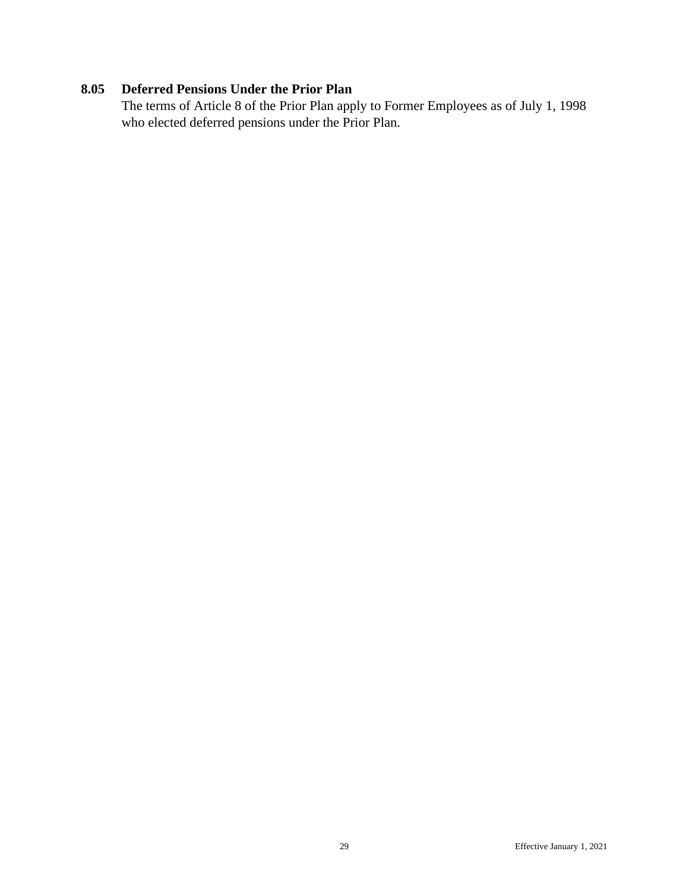# <span id="page-35-0"></span>**8.05 Deferred Pensions Under the Prior Plan**

The terms of Article 8 of the Prior Plan apply to Former Employees as of July 1, 1998 who elected deferred pensions under the Prior Plan.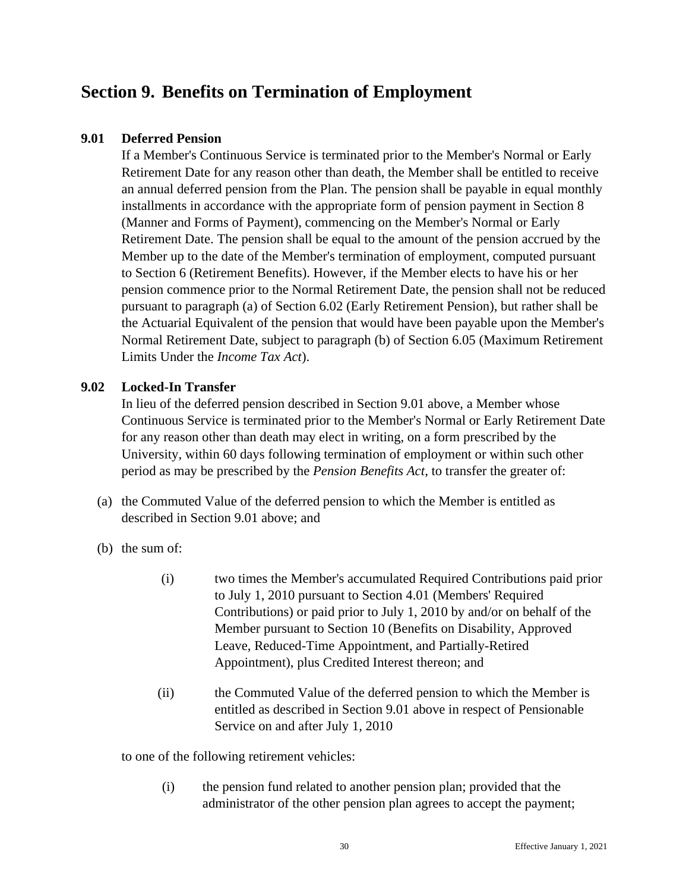# <span id="page-36-0"></span>**Section 9. Benefits on Termination of Employment**

### <span id="page-36-1"></span>**9.01 Deferred Pension**

If a Member's Continuous Service is terminated prior to the Member's Normal or Early Retirement Date for any reason other than death, the Member shall be entitled to receive an annual deferred pension from the Plan. The pension shall be payable in equal monthly installments in accordance with the appropriate form of pension payment in Section 8 (Manner and Forms of Payment), commencing on the Member's Normal or Early Retirement Date. The pension shall be equal to the amount of the pension accrued by the Member up to the date of the Member's termination of employment, computed pursuant to Section 6 (Retirement Benefits). However, if the Member elects to have his or her pension commence prior to the Normal Retirement Date, the pension shall not be reduced pursuant to paragraph (a) of Section 6.02 (Early Retirement Pension), but rather shall be the Actuarial Equivalent of the pension that would have been payable upon the Member's Normal Retirement Date, subject to paragraph (b) of Section 6.05 (Maximum Retirement Limits Under the *Income Tax Act*).

### <span id="page-36-2"></span>**9.02 Locked-In Transfer**

In lieu of the deferred pension described in Section 9.01 above, a Member whose Continuous Service is terminated prior to the Member's Normal or Early Retirement Date for any reason other than death may elect in writing, on a form prescribed by the University, within 60 days following termination of employment or within such other period as may be prescribed by the *Pension Benefits Act*, to transfer the greater of:

- (a) the Commuted Value of the deferred pension to which the Member is entitled as described in Section 9.01 above; and
- (b) the sum of:
	- (i) two times the Member's accumulated Required Contributions paid prior to July 1, 2010 pursuant to Section 4.01 (Members' Required Contributions) or paid prior to July 1, 2010 by and/or on behalf of the Member pursuant to Section 10 (Benefits on Disability, Approved Leave, Reduced-Time Appointment, and Partially-Retired Appointment), plus Credited Interest thereon; and
	- (ii) the Commuted Value of the deferred pension to which the Member is entitled as described in Section 9.01 above in respect of Pensionable Service on and after July 1, 2010

to one of the following retirement vehicles:

(i) the pension fund related to another pension plan; provided that the administrator of the other pension plan agrees to accept the payment;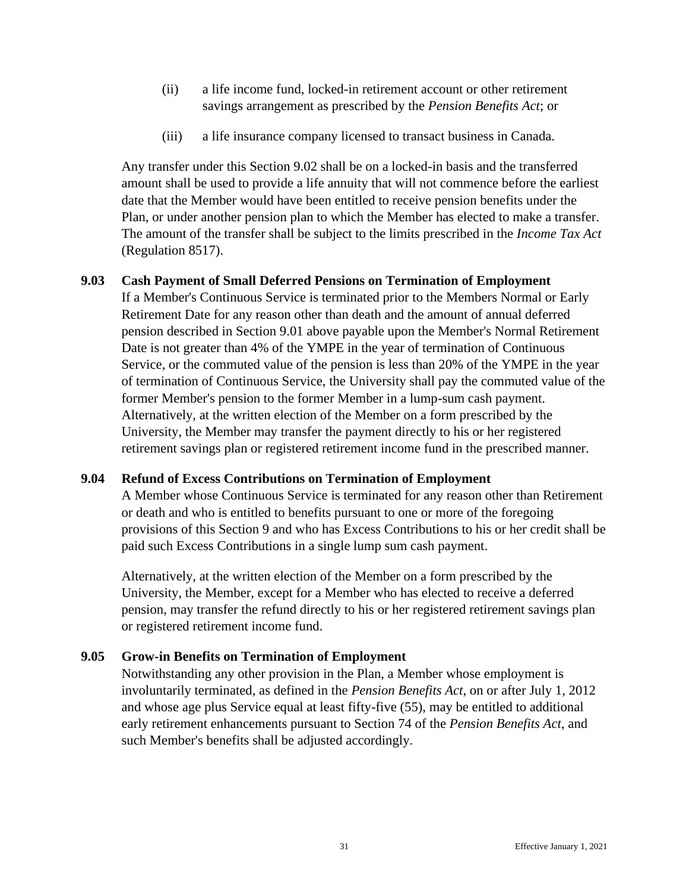- (ii) a life income fund, locked-in retirement account or other retirement savings arrangement as prescribed by the *Pension Benefits Act*; or
- (iii) a life insurance company licensed to transact business in Canada.

Any transfer under this Section 9.02 shall be on a locked-in basis and the transferred amount shall be used to provide a life annuity that will not commence before the earliest date that the Member would have been entitled to receive pension benefits under the Plan, or under another pension plan to which the Member has elected to make a transfer. The amount of the transfer shall be subject to the limits prescribed in the *Income Tax Act* (Regulation 8517).

# <span id="page-37-0"></span>**9.03 Cash Payment of Small Deferred Pensions on Termination of Employment**

If a Member's Continuous Service is terminated prior to the Members Normal or Early Retirement Date for any reason other than death and the amount of annual deferred pension described in Section 9.01 above payable upon the Member's Normal Retirement Date is not greater than 4% of the YMPE in the year of termination of Continuous Service, or the commuted value of the pension is less than 20% of the YMPE in the year of termination of Continuous Service, the University shall pay the commuted value of the former Member's pension to the former Member in a lump-sum cash payment. Alternatively, at the written election of the Member on a form prescribed by the University, the Member may transfer the payment directly to his or her registered retirement savings plan or registered retirement income fund in the prescribed manner.

# <span id="page-37-1"></span>**9.04 Refund of Excess Contributions on Termination of Employment**

A Member whose Continuous Service is terminated for any reason other than Retirement or death and who is entitled to benefits pursuant to one or more of the foregoing provisions of this Section 9 and who has Excess Contributions to his or her credit shall be paid such Excess Contributions in a single lump sum cash payment.

Alternatively, at the written election of the Member on a form prescribed by the University, the Member, except for a Member who has elected to receive a deferred pension, may transfer the refund directly to his or her registered retirement savings plan or registered retirement income fund.

# <span id="page-37-2"></span>**9.05 Grow-in Benefits on Termination of Employment**

Notwithstanding any other provision in the Plan, a Member whose employment is involuntarily terminated, as defined in the *Pension Benefits Act*, on or after July 1, 2012 and whose age plus Service equal at least fifty-five (55), may be entitled to additional early retirement enhancements pursuant to Section 74 of the *Pension Benefits Act*, and such Member's benefits shall be adjusted accordingly.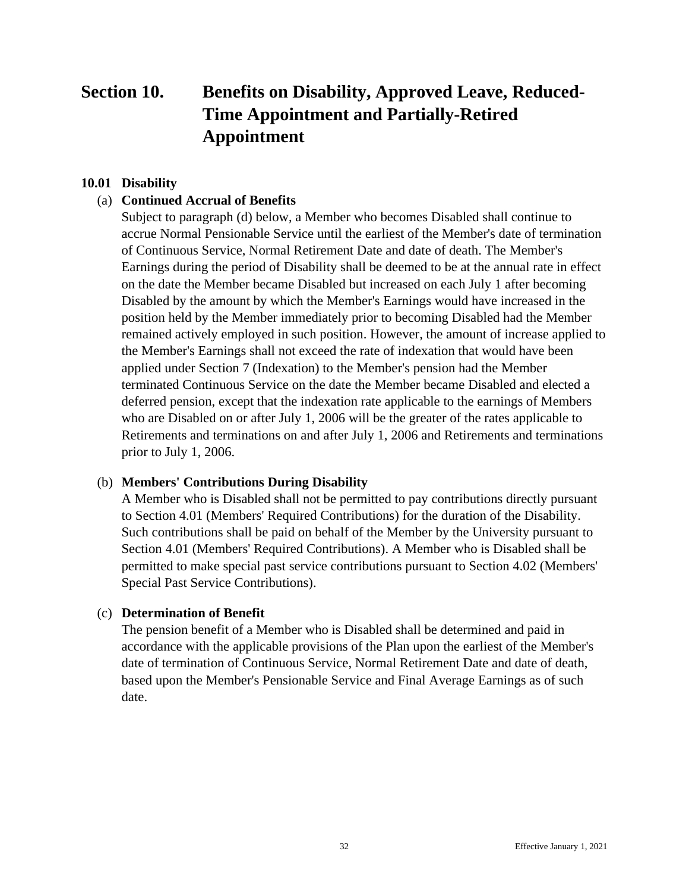# <span id="page-38-0"></span>**Section 10. Benefits on Disability, Approved Leave, Reduced-Time Appointment and Partially-Retired Appointment**

### <span id="page-38-1"></span>**10.01 Disability**

### (a) **Continued Accrual of Benefits**

Subject to paragraph (d) below, a Member who becomes Disabled shall continue to accrue Normal Pensionable Service until the earliest of the Member's date of termination of Continuous Service, Normal Retirement Date and date of death. The Member's Earnings during the period of Disability shall be deemed to be at the annual rate in effect on the date the Member became Disabled but increased on each July 1 after becoming Disabled by the amount by which the Member's Earnings would have increased in the position held by the Member immediately prior to becoming Disabled had the Member remained actively employed in such position. However, the amount of increase applied to the Member's Earnings shall not exceed the rate of indexation that would have been applied under Section 7 (Indexation) to the Member's pension had the Member terminated Continuous Service on the date the Member became Disabled and elected a deferred pension, except that the indexation rate applicable to the earnings of Members who are Disabled on or after July 1, 2006 will be the greater of the rates applicable to Retirements and terminations on and after July 1, 2006 and Retirements and terminations prior to July 1, 2006.

#### (b) **Members' Contributions During Disability**

A Member who is Disabled shall not be permitted to pay contributions directly pursuant to Section 4.01 (Members' Required Contributions) for the duration of the Disability. Such contributions shall be paid on behalf of the Member by the University pursuant to Section 4.01 (Members' Required Contributions). A Member who is Disabled shall be permitted to make special past service contributions pursuant to Section 4.02 (Members' Special Past Service Contributions).

#### (c) **Determination of Benefit**

The pension benefit of a Member who is Disabled shall be determined and paid in accordance with the applicable provisions of the Plan upon the earliest of the Member's date of termination of Continuous Service, Normal Retirement Date and date of death, based upon the Member's Pensionable Service and Final Average Earnings as of such date.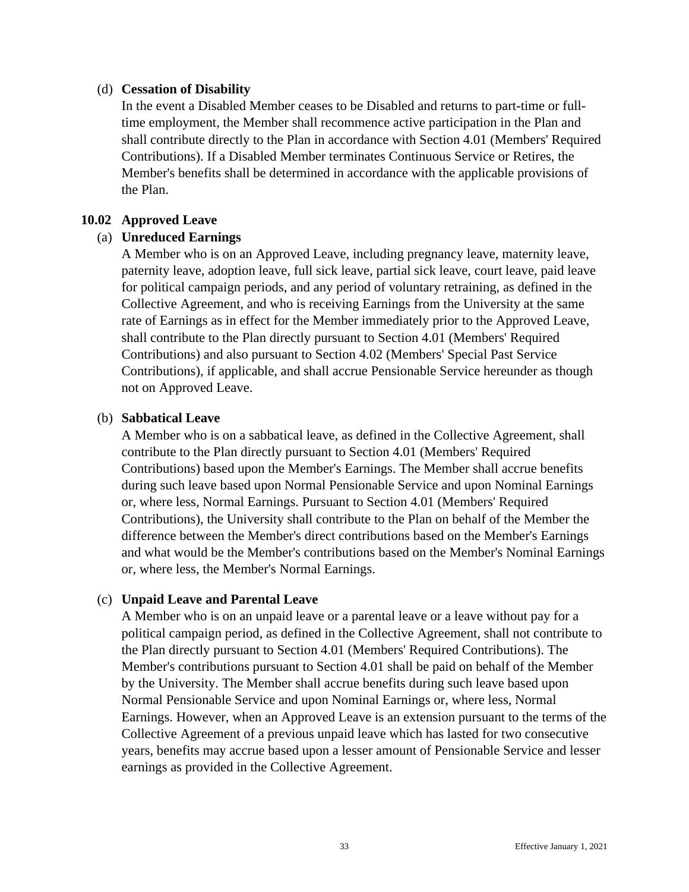#### (d) **Cessation of Disability**

In the event a Disabled Member ceases to be Disabled and returns to part-time or fulltime employment, the Member shall recommence active participation in the Plan and shall contribute directly to the Plan in accordance with Section 4.01 (Members' Required Contributions). If a Disabled Member terminates Continuous Service or Retires, the Member's benefits shall be determined in accordance with the applicable provisions of the Plan.

### <span id="page-39-0"></span>**10.02 Approved Leave**

### (a) **Unreduced Earnings**

A Member who is on an Approved Leave, including pregnancy leave, maternity leave, paternity leave, adoption leave, full sick leave, partial sick leave, court leave, paid leave for political campaign periods, and any period of voluntary retraining, as defined in the Collective Agreement, and who is receiving Earnings from the University at the same rate of Earnings as in effect for the Member immediately prior to the Approved Leave, shall contribute to the Plan directly pursuant to Section 4.01 (Members' Required Contributions) and also pursuant to Section 4.02 (Members' Special Past Service Contributions), if applicable, and shall accrue Pensionable Service hereunder as though not on Approved Leave.

### (b) **Sabbatical Leave**

A Member who is on a sabbatical leave, as defined in the Collective Agreement, shall contribute to the Plan directly pursuant to Section 4.01 (Members' Required Contributions) based upon the Member's Earnings. The Member shall accrue benefits during such leave based upon Normal Pensionable Service and upon Nominal Earnings or, where less, Normal Earnings. Pursuant to Section 4.01 (Members' Required Contributions), the University shall contribute to the Plan on behalf of the Member the difference between the Member's direct contributions based on the Member's Earnings and what would be the Member's contributions based on the Member's Nominal Earnings or, where less, the Member's Normal Earnings.

#### (c) **Unpaid Leave and Parental Leave**

A Member who is on an unpaid leave or a parental leave or a leave without pay for a political campaign period, as defined in the Collective Agreement, shall not contribute to the Plan directly pursuant to Section 4.01 (Members' Required Contributions). The Member's contributions pursuant to Section 4.01 shall be paid on behalf of the Member by the University. The Member shall accrue benefits during such leave based upon Normal Pensionable Service and upon Nominal Earnings or, where less, Normal Earnings. However, when an Approved Leave is an extension pursuant to the terms of the Collective Agreement of a previous unpaid leave which has lasted for two consecutive years, benefits may accrue based upon a lesser amount of Pensionable Service and lesser earnings as provided in the Collective Agreement.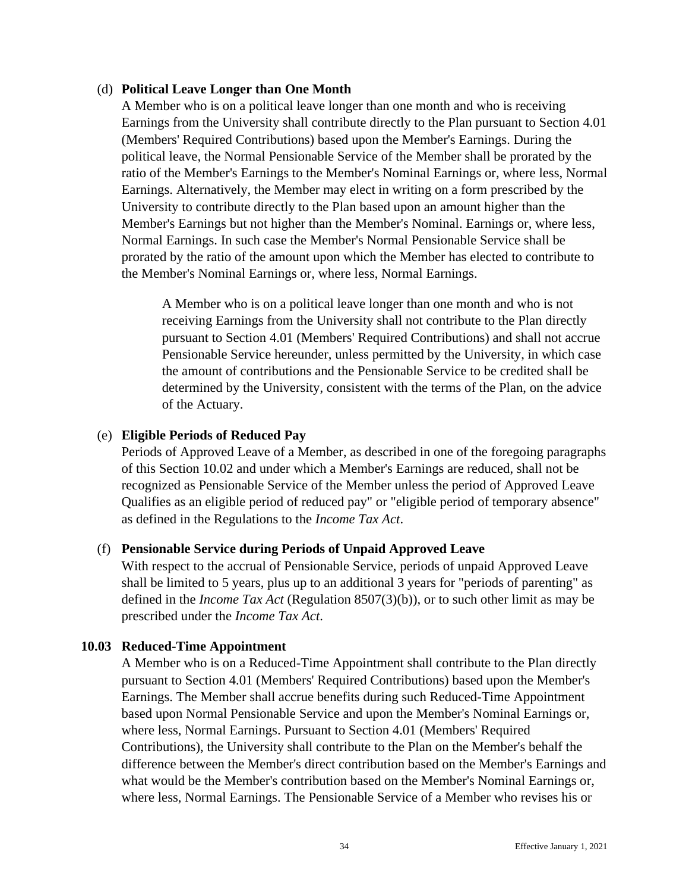#### (d) **Political Leave Longer than One Month**

A Member who is on a political leave longer than one month and who is receiving Earnings from the University shall contribute directly to the Plan pursuant to Section 4.01 (Members' Required Contributions) based upon the Member's Earnings. During the political leave, the Normal Pensionable Service of the Member shall be prorated by the ratio of the Member's Earnings to the Member's Nominal Earnings or, where less, Normal Earnings. Alternatively, the Member may elect in writing on a form prescribed by the University to contribute directly to the Plan based upon an amount higher than the Member's Earnings but not higher than the Member's Nominal. Earnings or, where less, Normal Earnings. In such case the Member's Normal Pensionable Service shall be prorated by the ratio of the amount upon which the Member has elected to contribute to the Member's Nominal Earnings or, where less, Normal Earnings.

A Member who is on a political leave longer than one month and who is not receiving Earnings from the University shall not contribute to the Plan directly pursuant to Section 4.01 (Members' Required Contributions) and shall not accrue Pensionable Service hereunder, unless permitted by the University, in which case the amount of contributions and the Pensionable Service to be credited shall be determined by the University, consistent with the terms of the Plan, on the advice of the Actuary.

### (e) **Eligible Periods of Reduced Pay**

Periods of Approved Leave of a Member, as described in one of the foregoing paragraphs of this Section 10.02 and under which a Member's Earnings are reduced, shall not be recognized as Pensionable Service of the Member unless the period of Approved Leave Qualifies as an eligible period of reduced pay" or "eligible period of temporary absence" as defined in the Regulations to the *Income Tax Act*.

# (f) **Pensionable Service during Periods of Unpaid Approved Leave**

With respect to the accrual of Pensionable Service, periods of unpaid Approved Leave shall be limited to 5 years, plus up to an additional 3 years for "periods of parenting" as defined in the *Income Tax Act* (Regulation 8507(3)(b)), or to such other limit as may be prescribed under the *Income Tax Act*.

#### <span id="page-40-0"></span>**10.03 Reduced-Time Appointment**

A Member who is on a Reduced-Time Appointment shall contribute to the Plan directly pursuant to Section 4.01 (Members' Required Contributions) based upon the Member's Earnings. The Member shall accrue benefits during such Reduced-Time Appointment based upon Normal Pensionable Service and upon the Member's Nominal Earnings or, where less, Normal Earnings. Pursuant to Section 4.01 (Members' Required Contributions), the University shall contribute to the Plan on the Member's behalf the difference between the Member's direct contribution based on the Member's Earnings and what would be the Member's contribution based on the Member's Nominal Earnings or, where less, Normal Earnings. The Pensionable Service of a Member who revises his or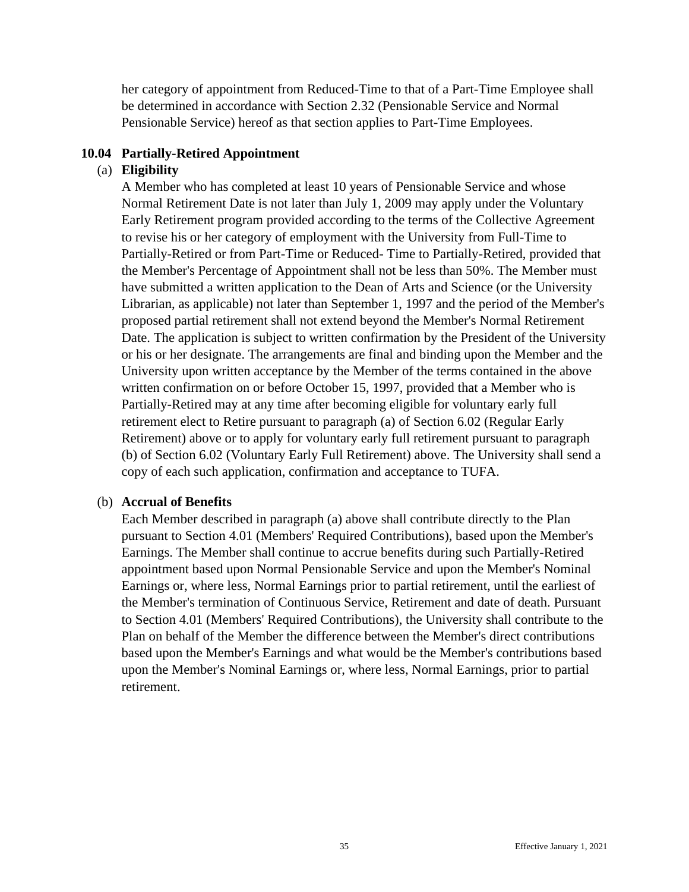her category of appointment from Reduced-Time to that of a Part-Time Employee shall be determined in accordance with Section 2.32 (Pensionable Service and Normal Pensionable Service) hereof as that section applies to Part-Time Employees.

### <span id="page-41-0"></span>**10.04 Partially-Retired Appointment**

# (a) **Eligibility**

A Member who has completed at least 10 years of Pensionable Service and whose Normal Retirement Date is not later than July 1, 2009 may apply under the Voluntary Early Retirement program provided according to the terms of the Collective Agreement to revise his or her category of employment with the University from Full-Time to Partially-Retired or from Part-Time or Reduced- Time to Partially-Retired, provided that the Member's Percentage of Appointment shall not be less than 50%. The Member must have submitted a written application to the Dean of Arts and Science (or the University Librarian, as applicable) not later than September 1, 1997 and the period of the Member's proposed partial retirement shall not extend beyond the Member's Normal Retirement Date. The application is subject to written confirmation by the President of the University or his or her designate. The arrangements are final and binding upon the Member and the University upon written acceptance by the Member of the terms contained in the above written confirmation on or before October 15, 1997, provided that a Member who is Partially-Retired may at any time after becoming eligible for voluntary early full retirement elect to Retire pursuant to paragraph (a) of Section 6.02 (Regular Early Retirement) above or to apply for voluntary early full retirement pursuant to paragraph (b) of Section 6.02 (Voluntary Early Full Retirement) above. The University shall send a copy of each such application, confirmation and acceptance to TUFA.

# (b) **Accrual of Benefits**

Each Member described in paragraph (a) above shall contribute directly to the Plan pursuant to Section 4.01 (Members' Required Contributions), based upon the Member's Earnings. The Member shall continue to accrue benefits during such Partially-Retired appointment based upon Normal Pensionable Service and upon the Member's Nominal Earnings or, where less, Normal Earnings prior to partial retirement, until the earliest of the Member's termination of Continuous Service, Retirement and date of death. Pursuant to Section 4.01 (Members' Required Contributions), the University shall contribute to the Plan on behalf of the Member the difference between the Member's direct contributions based upon the Member's Earnings and what would be the Member's contributions based upon the Member's Nominal Earnings or, where less, Normal Earnings, prior to partial retirement.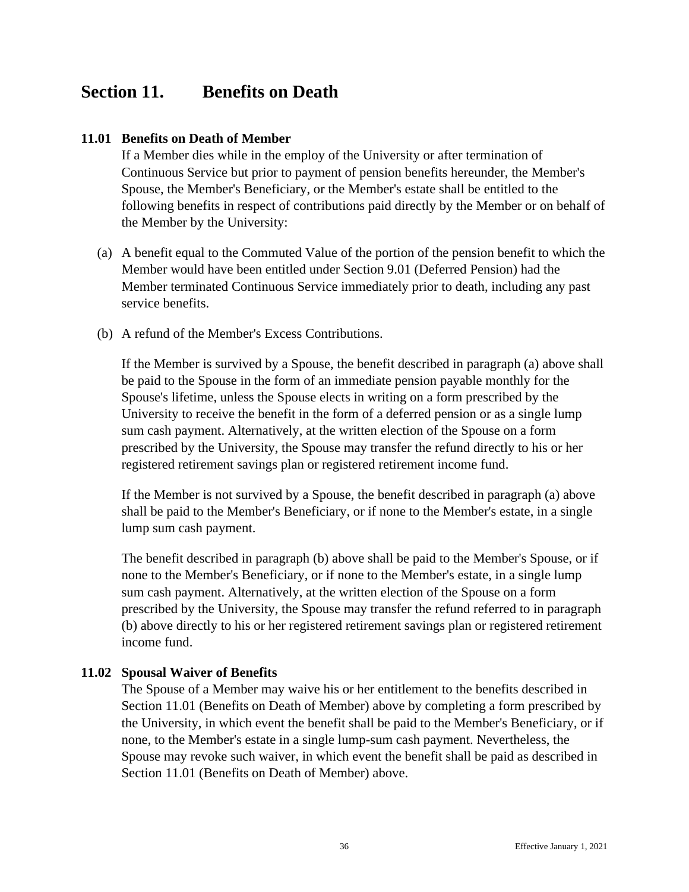# <span id="page-42-0"></span>**Section 11. Benefits on Death**

### <span id="page-42-1"></span>**11.01 Benefits on Death of Member**

If a Member dies while in the employ of the University or after termination of Continuous Service but prior to payment of pension benefits hereunder, the Member's Spouse, the Member's Beneficiary, or the Member's estate shall be entitled to the following benefits in respect of contributions paid directly by the Member or on behalf of the Member by the University:

- (a) A benefit equal to the Commuted Value of the portion of the pension benefit to which the Member would have been entitled under Section 9.01 (Deferred Pension) had the Member terminated Continuous Service immediately prior to death, including any past service benefits.
- (b) A refund of the Member's Excess Contributions.

If the Member is survived by a Spouse, the benefit described in paragraph (a) above shall be paid to the Spouse in the form of an immediate pension payable monthly for the Spouse's lifetime, unless the Spouse elects in writing on a form prescribed by the University to receive the benefit in the form of a deferred pension or as a single lump sum cash payment. Alternatively, at the written election of the Spouse on a form prescribed by the University, the Spouse may transfer the refund directly to his or her registered retirement savings plan or registered retirement income fund.

If the Member is not survived by a Spouse, the benefit described in paragraph (a) above shall be paid to the Member's Beneficiary, or if none to the Member's estate, in a single lump sum cash payment.

The benefit described in paragraph (b) above shall be paid to the Member's Spouse, or if none to the Member's Beneficiary, or if none to the Member's estate, in a single lump sum cash payment. Alternatively, at the written election of the Spouse on a form prescribed by the University, the Spouse may transfer the refund referred to in paragraph (b) above directly to his or her registered retirement savings plan or registered retirement income fund.

# <span id="page-42-2"></span>**11.02 Spousal Waiver of Benefits**

The Spouse of a Member may waive his or her entitlement to the benefits described in Section 11.01 (Benefits on Death of Member) above by completing a form prescribed by the University, in which event the benefit shall be paid to the Member's Beneficiary, or if none, to the Member's estate in a single lump-sum cash payment. Nevertheless, the Spouse may revoke such waiver, in which event the benefit shall be paid as described in Section 11.01 (Benefits on Death of Member) above.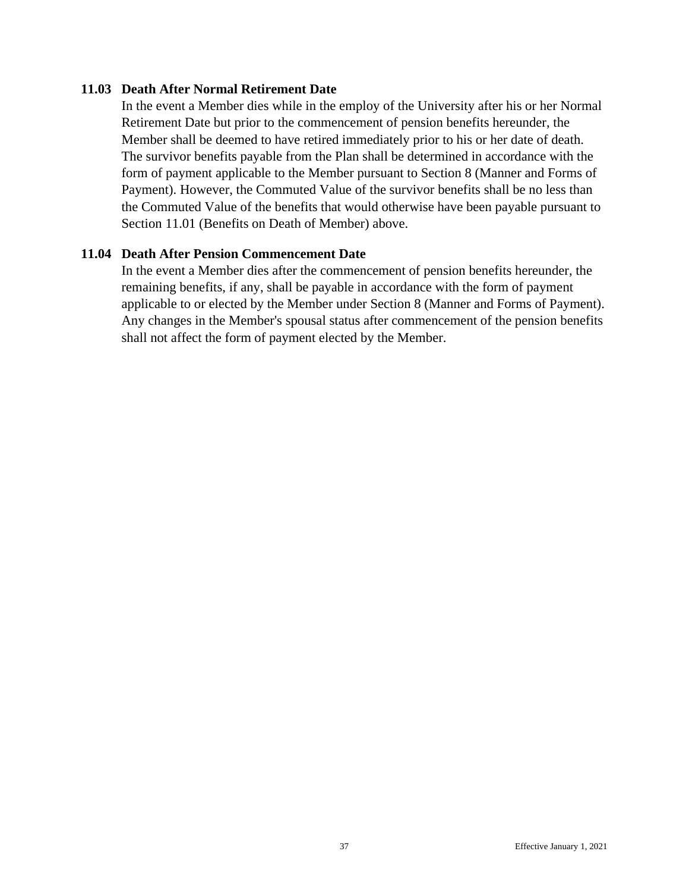#### <span id="page-43-0"></span>**11.03 Death After Normal Retirement Date**

In the event a Member dies while in the employ of the University after his or her Normal Retirement Date but prior to the commencement of pension benefits hereunder, the Member shall be deemed to have retired immediately prior to his or her date of death. The survivor benefits payable from the Plan shall be determined in accordance with the form of payment applicable to the Member pursuant to Section 8 (Manner and Forms of Payment). However, the Commuted Value of the survivor benefits shall be no less than the Commuted Value of the benefits that would otherwise have been payable pursuant to Section 11.01 (Benefits on Death of Member) above.

### <span id="page-43-1"></span>**11.04 Death After Pension Commencement Date**

In the event a Member dies after the commencement of pension benefits hereunder, the remaining benefits, if any, shall be payable in accordance with the form of payment applicable to or elected by the Member under Section 8 (Manner and Forms of Payment). Any changes in the Member's spousal status after commencement of the pension benefits shall not affect the form of payment elected by the Member.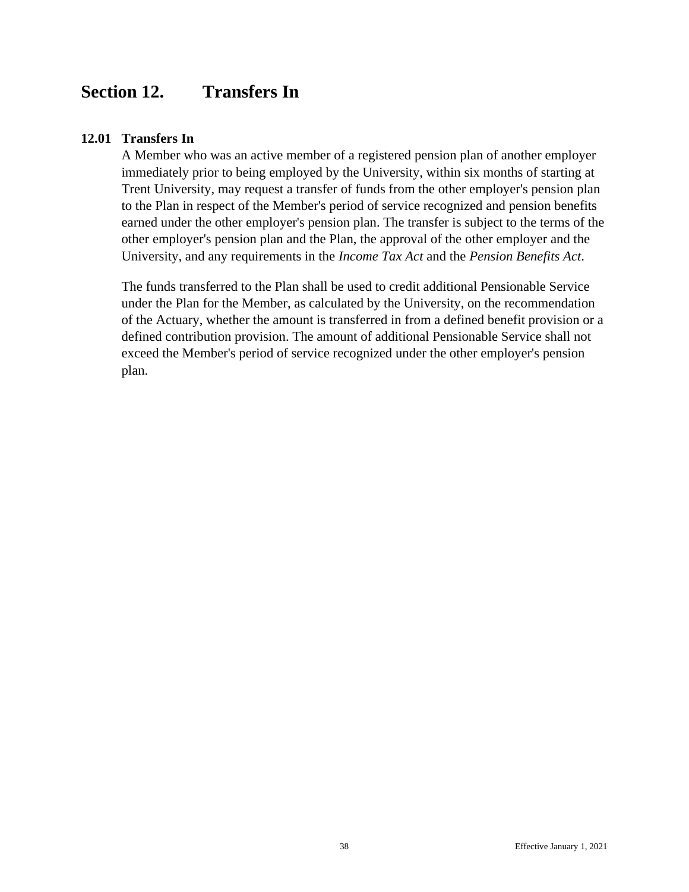# <span id="page-44-0"></span>**Section 12. Transfers In**

### <span id="page-44-1"></span>**12.01 Transfers In**

A Member who was an active member of a registered pension plan of another employer immediately prior to being employed by the University, within six months of starting at Trent University, may request a transfer of funds from the other employer's pension plan to the Plan in respect of the Member's period of service recognized and pension benefits earned under the other employer's pension plan. The transfer is subject to the terms of the other employer's pension plan and the Plan, the approval of the other employer and the University, and any requirements in the *Income Tax Act* and the *Pension Benefits Act*.

The funds transferred to the Plan shall be used to credit additional Pensionable Service under the Plan for the Member, as calculated by the University, on the recommendation of the Actuary, whether the amount is transferred in from a defined benefit provision or a defined contribution provision. The amount of additional Pensionable Service shall not exceed the Member's period of service recognized under the other employer's pension plan.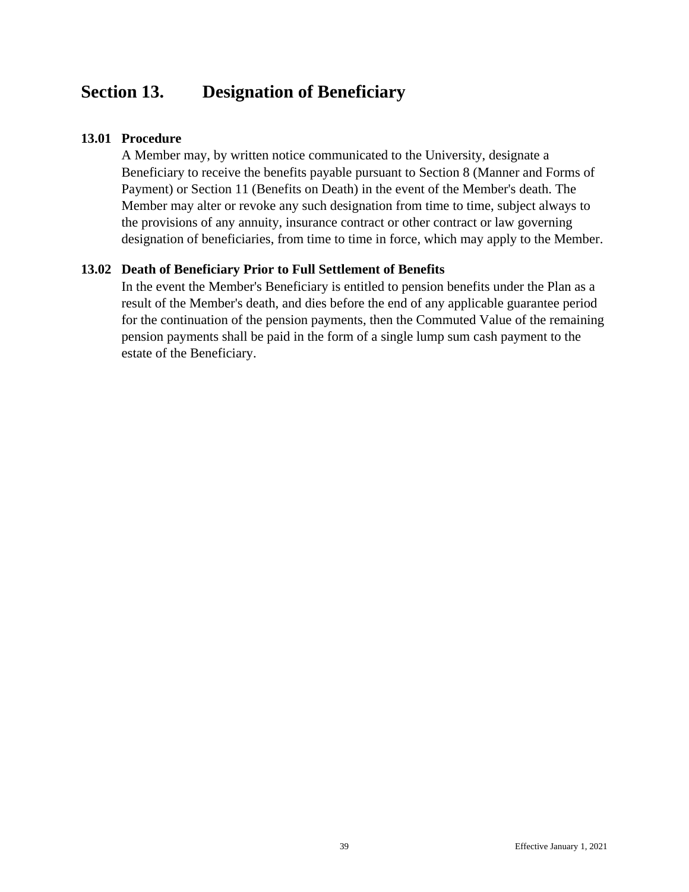# <span id="page-45-0"></span>**Section 13. Designation of Beneficiary**

### <span id="page-45-1"></span>**13.01 Procedure**

A Member may, by written notice communicated to the University, designate a Beneficiary to receive the benefits payable pursuant to Section 8 (Manner and Forms of Payment) or Section 11 (Benefits on Death) in the event of the Member's death. The Member may alter or revoke any such designation from time to time, subject always to the provisions of any annuity, insurance contract or other contract or law governing designation of beneficiaries, from time to time in force, which may apply to the Member.

### <span id="page-45-2"></span>**13.02 Death of Beneficiary Prior to Full Settlement of Benefits**

In the event the Member's Beneficiary is entitled to pension benefits under the Plan as a result of the Member's death, and dies before the end of any applicable guarantee period for the continuation of the pension payments, then the Commuted Value of the remaining pension payments shall be paid in the form of a single lump sum cash payment to the estate of the Beneficiary.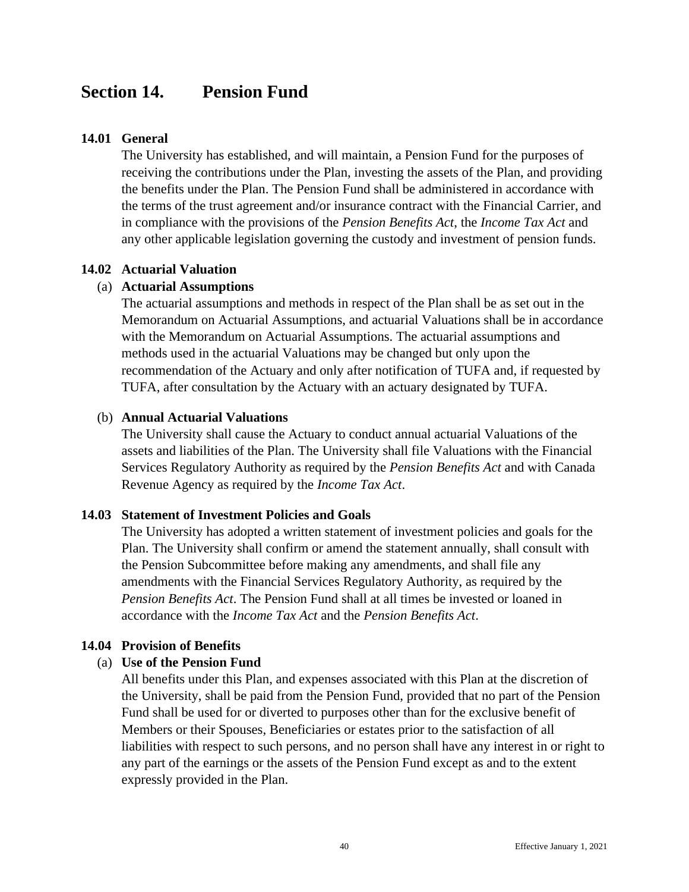# <span id="page-46-0"></span>**Section 14. Pension Fund**

#### <span id="page-46-1"></span>**14.01 General**

The University has established, and will maintain, a Pension Fund for the purposes of receiving the contributions under the Plan, investing the assets of the Plan, and providing the benefits under the Plan. The Pension Fund shall be administered in accordance with the terms of the trust agreement and/or insurance contract with the Financial Carrier, and in compliance with the provisions of the *Pension Benefits Act*, the *Income Tax Act* and any other applicable legislation governing the custody and investment of pension funds.

#### <span id="page-46-2"></span>**14.02 Actuarial Valuation**

#### (a) **Actuarial Assumptions**

The actuarial assumptions and methods in respect of the Plan shall be as set out in the Memorandum on Actuarial Assumptions, and actuarial Valuations shall be in accordance with the Memorandum on Actuarial Assumptions. The actuarial assumptions and methods used in the actuarial Valuations may be changed but only upon the recommendation of the Actuary and only after notification of TUFA and, if requested by TUFA, after consultation by the Actuary with an actuary designated by TUFA.

#### (b) **Annual Actuarial Valuations**

The University shall cause the Actuary to conduct annual actuarial Valuations of the assets and liabilities of the Plan. The University shall file Valuations with the Financial Services Regulatory Authority as required by the *Pension Benefits Act* and with Canada Revenue Agency as required by the *Income Tax Act*.

#### <span id="page-46-3"></span>**14.03 Statement of Investment Policies and Goals**

The University has adopted a written statement of investment policies and goals for the Plan. The University shall confirm or amend the statement annually, shall consult with the Pension Subcommittee before making any amendments, and shall file any amendments with the Financial Services Regulatory Authority, as required by the *Pension Benefits Act*. The Pension Fund shall at all times be invested or loaned in accordance with the *Income Tax Act* and the *Pension Benefits Act*.

#### <span id="page-46-4"></span>**14.04 Provision of Benefits**

#### (a) **Use of the Pension Fund**

All benefits under this Plan, and expenses associated with this Plan at the discretion of the University, shall be paid from the Pension Fund, provided that no part of the Pension Fund shall be used for or diverted to purposes other than for the exclusive benefit of Members or their Spouses, Beneficiaries or estates prior to the satisfaction of all liabilities with respect to such persons, and no person shall have any interest in or right to any part of the earnings or the assets of the Pension Fund except as and to the extent expressly provided in the Plan.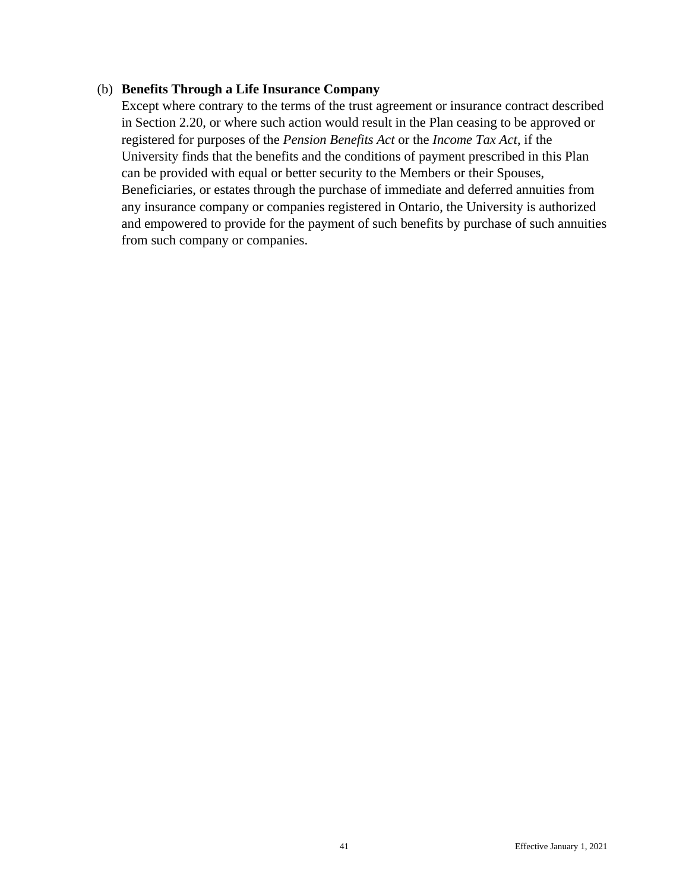#### (b) **Benefits Through a Life Insurance Company**

Except where contrary to the terms of the trust agreement or insurance contract described in Section 2.20, or where such action would result in the Plan ceasing to be approved or registered for purposes of the *Pension Benefits Act* or the *Income Tax Act*, if the University finds that the benefits and the conditions of payment prescribed in this Plan can be provided with equal or better security to the Members or their Spouses, Beneficiaries, or estates through the purchase of immediate and deferred annuities from any insurance company or companies registered in Ontario, the University is authorized and empowered to provide for the payment of such benefits by purchase of such annuities from such company or companies.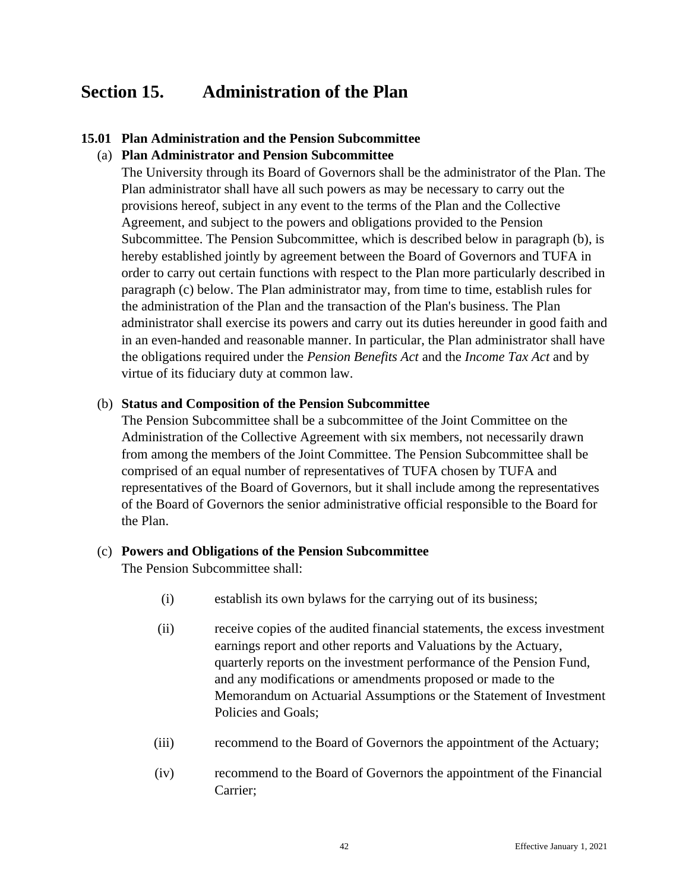# <span id="page-48-0"></span>**Section 15. Administration of the Plan**

### <span id="page-48-1"></span>**15.01 Plan Administration and the Pension Subcommittee**

#### (a) **Plan Administrator and Pension Subcommittee**

The University through its Board of Governors shall be the administrator of the Plan. The Plan administrator shall have all such powers as may be necessary to carry out the provisions hereof, subject in any event to the terms of the Plan and the Collective Agreement, and subject to the powers and obligations provided to the Pension Subcommittee. The Pension Subcommittee, which is described below in paragraph (b), is hereby established jointly by agreement between the Board of Governors and TUFA in order to carry out certain functions with respect to the Plan more particularly described in paragraph (c) below. The Plan administrator may, from time to time, establish rules for the administration of the Plan and the transaction of the Plan's business. The Plan administrator shall exercise its powers and carry out its duties hereunder in good faith and in an even-handed and reasonable manner. In particular, the Plan administrator shall have the obligations required under the *Pension Benefits Act* and the *Income Tax Act* and by virtue of its fiduciary duty at common law.

#### (b) **Status and Composition of the Pension Subcommittee**

The Pension Subcommittee shall be a subcommittee of the Joint Committee on the Administration of the Collective Agreement with six members, not necessarily drawn from among the members of the Joint Committee. The Pension Subcommittee shall be comprised of an equal number of representatives of TUFA chosen by TUFA and representatives of the Board of Governors, but it shall include among the representatives of the Board of Governors the senior administrative official responsible to the Board for the Plan.

#### (c) **Powers and Obligations of the Pension Subcommittee**

The Pension Subcommittee shall:

- (i) establish its own bylaws for the carrying out of its business;
- (ii) receive copies of the audited financial statements, the excess investment earnings report and other reports and Valuations by the Actuary, quarterly reports on the investment performance of the Pension Fund, and any modifications or amendments proposed or made to the Memorandum on Actuarial Assumptions or the Statement of Investment Policies and Goals;
- (iii) recommend to the Board of Governors the appointment of the Actuary;
- (iv) recommend to the Board of Governors the appointment of the Financial Carrier;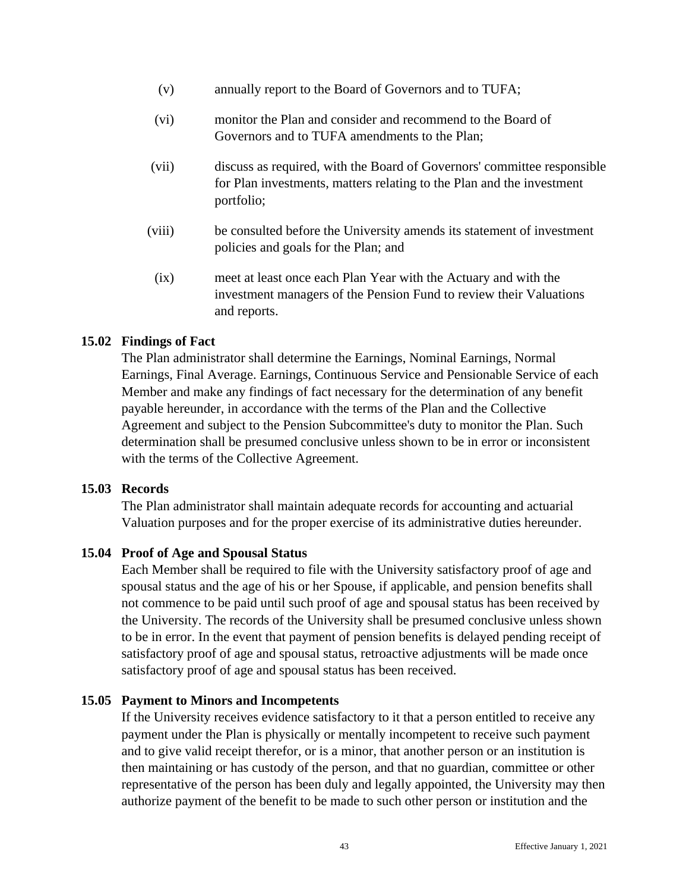- (v) annually report to the Board of Governors and to TUFA;
- (vi) monitor the Plan and consider and recommend to the Board of Governors and to TUFA amendments to the Plan;
- (vii) discuss as required, with the Board of Governors' committee responsible for Plan investments, matters relating to the Plan and the investment portfolio;
- (viii) be consulted before the University amends its statement of investment policies and goals for the Plan; and
- (ix) meet at least once each Plan Year with the Actuary and with the investment managers of the Pension Fund to review their Valuations and reports.

#### <span id="page-49-0"></span>**15.02 Findings of Fact**

The Plan administrator shall determine the Earnings, Nominal Earnings, Normal Earnings, Final Average. Earnings, Continuous Service and Pensionable Service of each Member and make any findings of fact necessary for the determination of any benefit payable hereunder, in accordance with the terms of the Plan and the Collective Agreement and subject to the Pension Subcommittee's duty to monitor the Plan. Such determination shall be presumed conclusive unless shown to be in error or inconsistent with the terms of the Collective Agreement.

#### <span id="page-49-1"></span>**15.03 Records**

The Plan administrator shall maintain adequate records for accounting and actuarial Valuation purposes and for the proper exercise of its administrative duties hereunder.

#### <span id="page-49-2"></span>**15.04 Proof of Age and Spousal Status**

Each Member shall be required to file with the University satisfactory proof of age and spousal status and the age of his or her Spouse, if applicable, and pension benefits shall not commence to be paid until such proof of age and spousal status has been received by the University. The records of the University shall be presumed conclusive unless shown to be in error. In the event that payment of pension benefits is delayed pending receipt of satisfactory proof of age and spousal status, retroactive adjustments will be made once satisfactory proof of age and spousal status has been received.

#### <span id="page-49-3"></span>**15.05 Payment to Minors and Incompetents**

If the University receives evidence satisfactory to it that a person entitled to receive any payment under the Plan is physically or mentally incompetent to receive such payment and to give valid receipt therefor, or is a minor, that another person or an institution is then maintaining or has custody of the person, and that no guardian, committee or other representative of the person has been duly and legally appointed, the University may then authorize payment of the benefit to be made to such other person or institution and the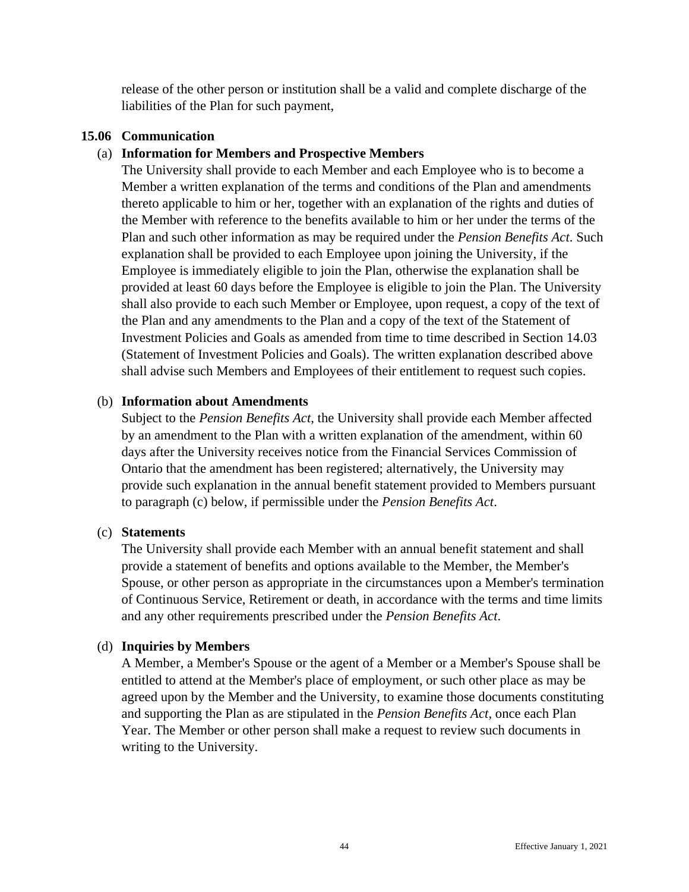release of the other person or institution shall be a valid and complete discharge of the liabilities of the Plan for such payment,

### <span id="page-50-0"></span>**15.06 Communication**

### (a) **Information for Members and Prospective Members**

The University shall provide to each Member and each Employee who is to become a Member a written explanation of the terms and conditions of the Plan and amendments thereto applicable to him or her, together with an explanation of the rights and duties of the Member with reference to the benefits available to him or her under the terms of the Plan and such other information as may be required under the *Pension Benefits Act*. Such explanation shall be provided to each Employee upon joining the University, if the Employee is immediately eligible to join the Plan, otherwise the explanation shall be provided at least 60 days before the Employee is eligible to join the Plan. The University shall also provide to each such Member or Employee, upon request, a copy of the text of the Plan and any amendments to the Plan and a copy of the text of the Statement of Investment Policies and Goals as amended from time to time described in Section 14.03 (Statement of Investment Policies and Goals). The written explanation described above shall advise such Members and Employees of their entitlement to request such copies.

#### (b) **Information about Amendments**

Subject to the *Pension Benefits Act*, the University shall provide each Member affected by an amendment to the Plan with a written explanation of the amendment, within 60 days after the University receives notice from the Financial Services Commission of Ontario that the amendment has been registered; alternatively, the University may provide such explanation in the annual benefit statement provided to Members pursuant to paragraph (c) below, if permissible under the *Pension Benefits Act*.

#### (c) **Statements**

The University shall provide each Member with an annual benefit statement and shall provide a statement of benefits and options available to the Member, the Member's Spouse, or other person as appropriate in the circumstances upon a Member's termination of Continuous Service, Retirement or death, in accordance with the terms and time limits and any other requirements prescribed under the *Pension Benefits Act*.

#### (d) **Inquiries by Members**

A Member, a Member's Spouse or the agent of a Member or a Member's Spouse shall be entitled to attend at the Member's place of employment, or such other place as may be agreed upon by the Member and the University, to examine those documents constituting and supporting the Plan as are stipulated in the *Pension Benefits Act*, once each Plan Year. The Member or other person shall make a request to review such documents in writing to the University.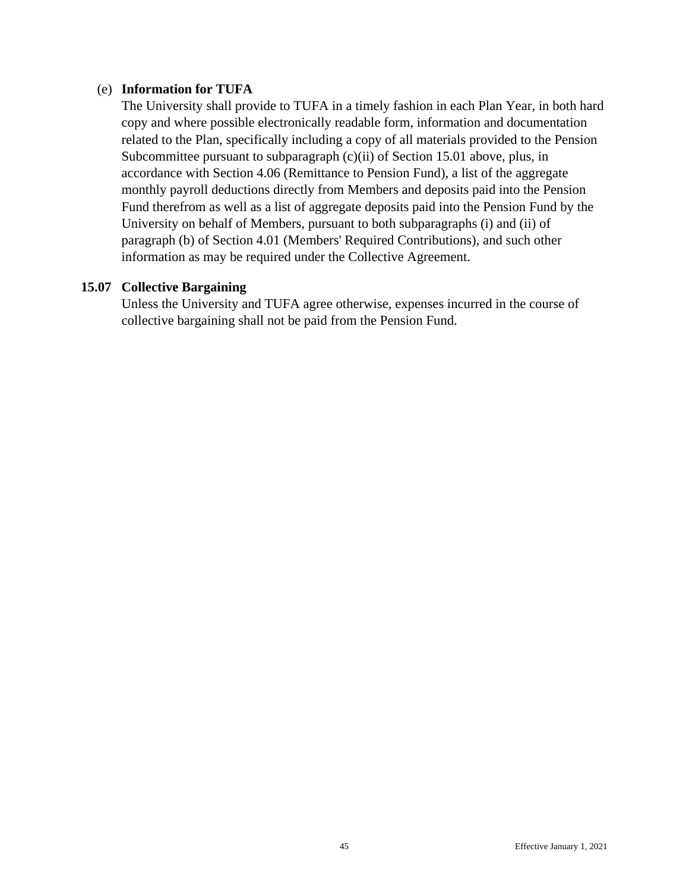#### (e) **Information for TUFA**

The University shall provide to TUFA in a timely fashion in each Plan Year, in both hard copy and where possible electronically readable form, information and documentation related to the Plan, specifically including a copy of all materials provided to the Pension Subcommittee pursuant to subparagraph (c)(ii) of Section 15.01 above, plus, in accordance with Section 4.06 (Remittance to Pension Fund), a list of the aggregate monthly payroll deductions directly from Members and deposits paid into the Pension Fund therefrom as well as a list of aggregate deposits paid into the Pension Fund by the University on behalf of Members, pursuant to both subparagraphs (i) and (ii) of paragraph (b) of Section 4.01 (Members' Required Contributions), and such other information as may be required under the Collective Agreement.

### <span id="page-51-0"></span>**15.07 Collective Bargaining**

Unless the University and TUFA agree otherwise, expenses incurred in the course of collective bargaining shall not be paid from the Pension Fund.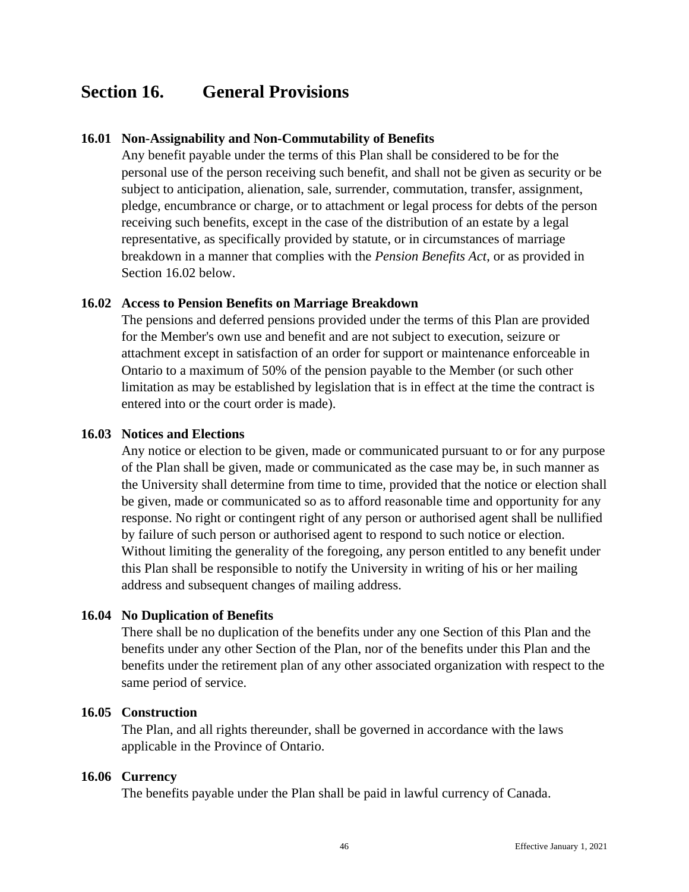# <span id="page-52-0"></span>**Section 16. General Provisions**

### <span id="page-52-1"></span>**16.01 Non-Assignability and Non-Commutability of Benefits**

Any benefit payable under the terms of this Plan shall be considered to be for the personal use of the person receiving such benefit, and shall not be given as security or be subject to anticipation, alienation, sale, surrender, commutation, transfer, assignment, pledge, encumbrance or charge, or to attachment or legal process for debts of the person receiving such benefits, except in the case of the distribution of an estate by a legal representative, as specifically provided by statute, or in circumstances of marriage breakdown in a manner that complies with the *Pension Benefits Act*, or as provided in Section 16.02 below.

### <span id="page-52-2"></span>**16.02 Access to Pension Benefits on Marriage Breakdown**

The pensions and deferred pensions provided under the terms of this Plan are provided for the Member's own use and benefit and are not subject to execution, seizure or attachment except in satisfaction of an order for support or maintenance enforceable in Ontario to a maximum of 50% of the pension payable to the Member (or such other limitation as may be established by legislation that is in effect at the time the contract is entered into or the court order is made).

#### <span id="page-52-3"></span>**16.03 Notices and Elections**

Any notice or election to be given, made or communicated pursuant to or for any purpose of the Plan shall be given, made or communicated as the case may be, in such manner as the University shall determine from time to time, provided that the notice or election shall be given, made or communicated so as to afford reasonable time and opportunity for any response. No right or contingent right of any person or authorised agent shall be nullified by failure of such person or authorised agent to respond to such notice or election. Without limiting the generality of the foregoing, any person entitled to any benefit under this Plan shall be responsible to notify the University in writing of his or her mailing address and subsequent changes of mailing address.

#### <span id="page-52-4"></span>**16.04 No Duplication of Benefits**

There shall be no duplication of the benefits under any one Section of this Plan and the benefits under any other Section of the Plan, nor of the benefits under this Plan and the benefits under the retirement plan of any other associated organization with respect to the same period of service.

#### <span id="page-52-5"></span>**16.05 Construction**

The Plan, and all rights thereunder, shall be governed in accordance with the laws applicable in the Province of Ontario.

#### <span id="page-52-6"></span>**16.06 Currency**

The benefits payable under the Plan shall be paid in lawful currency of Canada.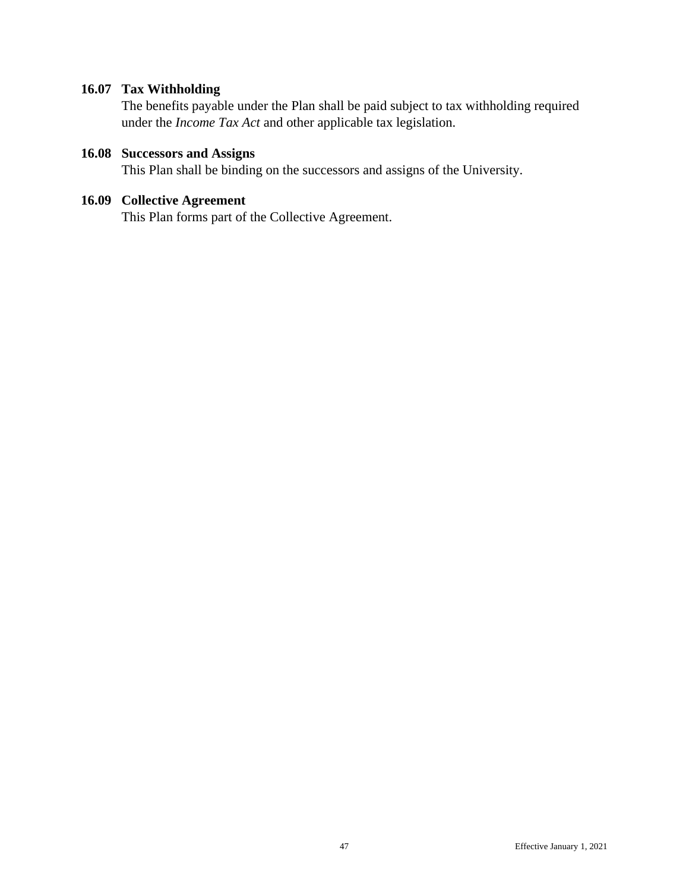# <span id="page-53-0"></span>**16.07 Tax Withholding**

The benefits payable under the Plan shall be paid subject to tax withholding required under the *Income Tax Act* and other applicable tax legislation.

# <span id="page-53-1"></span>**16.08 Successors and Assigns**

This Plan shall be binding on the successors and assigns of the University.

# <span id="page-53-2"></span>**16.09 Collective Agreement**

This Plan forms part of the Collective Agreement.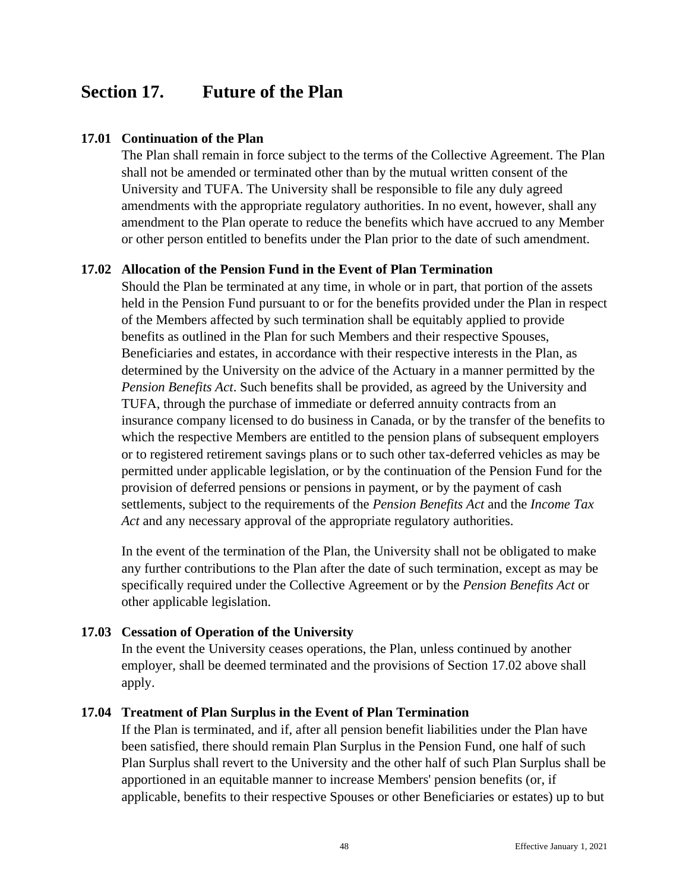# <span id="page-54-0"></span>**Section 17. Future of the Plan**

#### <span id="page-54-1"></span>**17.01 Continuation of the Plan**

The Plan shall remain in force subject to the terms of the Collective Agreement. The Plan shall not be amended or terminated other than by the mutual written consent of the University and TUFA. The University shall be responsible to file any duly agreed amendments with the appropriate regulatory authorities. In no event, however, shall any amendment to the Plan operate to reduce the benefits which have accrued to any Member or other person entitled to benefits under the Plan prior to the date of such amendment.

#### <span id="page-54-2"></span>**17.02 Allocation of the Pension Fund in the Event of Plan Termination**

Should the Plan be terminated at any time, in whole or in part, that portion of the assets held in the Pension Fund pursuant to or for the benefits provided under the Plan in respect of the Members affected by such termination shall be equitably applied to provide benefits as outlined in the Plan for such Members and their respective Spouses, Beneficiaries and estates, in accordance with their respective interests in the Plan, as determined by the University on the advice of the Actuary in a manner permitted by the *Pension Benefits Act*. Such benefits shall be provided, as agreed by the University and TUFA, through the purchase of immediate or deferred annuity contracts from an insurance company licensed to do business in Canada, or by the transfer of the benefits to which the respective Members are entitled to the pension plans of subsequent employers or to registered retirement savings plans or to such other tax-deferred vehicles as may be permitted under applicable legislation, or by the continuation of the Pension Fund for the provision of deferred pensions or pensions in payment, or by the payment of cash settlements, subject to the requirements of the *Pension Benefits Act* and the *Income Tax Act* and any necessary approval of the appropriate regulatory authorities.

In the event of the termination of the Plan, the University shall not be obligated to make any further contributions to the Plan after the date of such termination, except as may be specifically required under the Collective Agreement or by the *Pension Benefits Act* or other applicable legislation.

#### <span id="page-54-3"></span>**17.03 Cessation of Operation of the University**

In the event the University ceases operations, the Plan, unless continued by another employer, shall be deemed terminated and the provisions of Section 17.02 above shall apply.

#### <span id="page-54-4"></span>**17.04 Treatment of Plan Surplus in the Event of Plan Termination**

If the Plan is terminated, and if, after all pension benefit liabilities under the Plan have been satisfied, there should remain Plan Surplus in the Pension Fund, one half of such Plan Surplus shall revert to the University and the other half of such Plan Surplus shall be apportioned in an equitable manner to increase Members' pension benefits (or, if applicable, benefits to their respective Spouses or other Beneficiaries or estates) up to but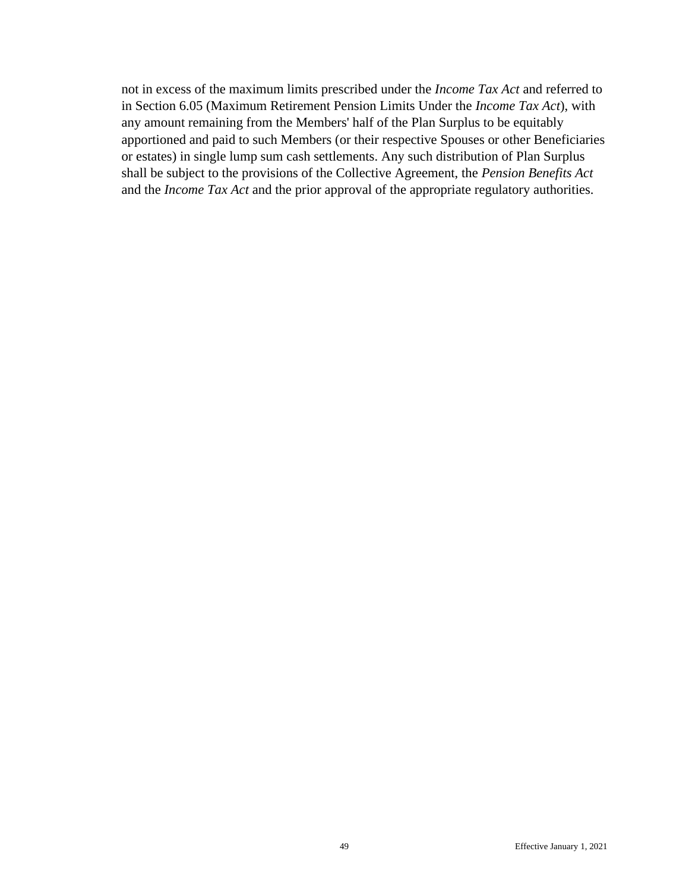not in excess of the maximum limits prescribed under the *Income Tax Act* and referred to in Section 6.05 (Maximum Retirement Pension Limits Under the *Income Tax Act*), with any amount remaining from the Members' half of the Plan Surplus to be equitably apportioned and paid to such Members (or their respective Spouses or other Beneficiaries or estates) in single lump sum cash settlements. Any such distribution of Plan Surplus shall be subject to the provisions of the Collective Agreement, the *Pension Benefits Act* and the *Income Tax Act* and the prior approval of the appropriate regulatory authorities.